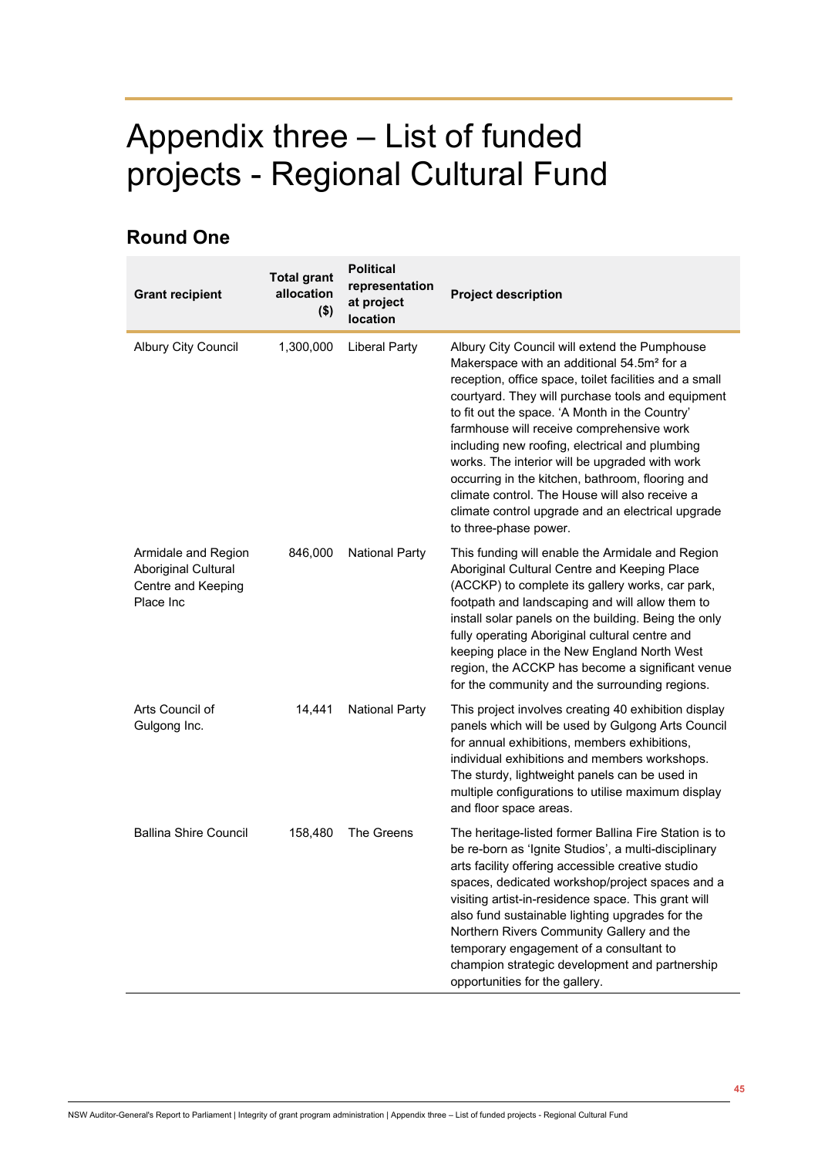## Appendix three – List of funded projects - Regional Cultural Fund

## **Round One**

| <b>Grant recipient</b>                                                        | <b>Total grant</b><br>allocation<br>$($ \$) | <b>Political</b><br>representation<br>at project<br>location | <b>Project description</b>                                                                                                                                                                                                                                                                                                                                                                                                                                                                                                                                                                                    |
|-------------------------------------------------------------------------------|---------------------------------------------|--------------------------------------------------------------|---------------------------------------------------------------------------------------------------------------------------------------------------------------------------------------------------------------------------------------------------------------------------------------------------------------------------------------------------------------------------------------------------------------------------------------------------------------------------------------------------------------------------------------------------------------------------------------------------------------|
| Albury City Council                                                           | 1,300,000                                   | <b>Liberal Party</b>                                         | Albury City Council will extend the Pumphouse<br>Makerspace with an additional 54.5m <sup>2</sup> for a<br>reception, office space, toilet facilities and a small<br>courtyard. They will purchase tools and equipment<br>to fit out the space. 'A Month in the Country'<br>farmhouse will receive comprehensive work<br>including new roofing, electrical and plumbing<br>works. The interior will be upgraded with work<br>occurring in the kitchen, bathroom, flooring and<br>climate control. The House will also receive a<br>climate control upgrade and an electrical upgrade<br>to three-phase power. |
| Armidale and Region<br>Aboriginal Cultural<br>Centre and Keeping<br>Place Inc | 846,000                                     | <b>National Party</b>                                        | This funding will enable the Armidale and Region<br>Aboriginal Cultural Centre and Keeping Place<br>(ACCKP) to complete its gallery works, car park,<br>footpath and landscaping and will allow them to<br>install solar panels on the building. Being the only<br>fully operating Aboriginal cultural centre and<br>keeping place in the New England North West<br>region, the ACCKP has become a significant venue<br>for the community and the surrounding regions.                                                                                                                                        |
| Arts Council of<br>Gulgong Inc.                                               | 14,441                                      | <b>National Party</b>                                        | This project involves creating 40 exhibition display<br>panels which will be used by Gulgong Arts Council<br>for annual exhibitions, members exhibitions,<br>individual exhibitions and members workshops.<br>The sturdy, lightweight panels can be used in<br>multiple configurations to utilise maximum display<br>and floor space areas.                                                                                                                                                                                                                                                                   |
| <b>Ballina Shire Council</b>                                                  | 158,480                                     | The Greens                                                   | The heritage-listed former Ballina Fire Station is to<br>be re-born as 'Ignite Studios', a multi-disciplinary<br>arts facility offering accessible creative studio<br>spaces, dedicated workshop/project spaces and a<br>visiting artist-in-residence space. This grant will<br>also fund sustainable lighting upgrades for the<br>Northern Rivers Community Gallery and the<br>temporary engagement of a consultant to<br>champion strategic development and partnership<br>opportunities for the gallery.                                                                                                   |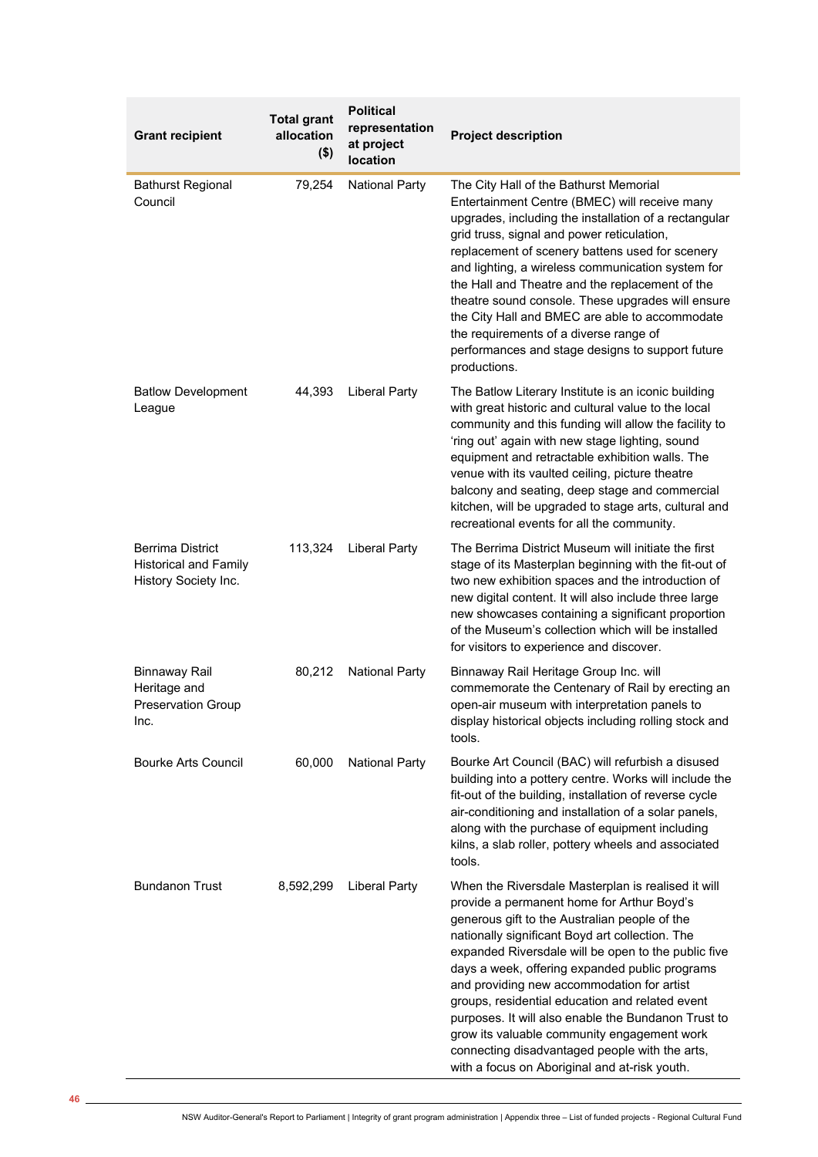| <b>Grant recipient</b>                                                    | <b>Total grant</b><br>allocation<br>$($ \$) | <b>Political</b><br>representation<br>at project<br>location | <b>Project description</b>                                                                                                                                                                                                                                                                                                                                                                                                                                                                                                                                                                                              |
|---------------------------------------------------------------------------|---------------------------------------------|--------------------------------------------------------------|-------------------------------------------------------------------------------------------------------------------------------------------------------------------------------------------------------------------------------------------------------------------------------------------------------------------------------------------------------------------------------------------------------------------------------------------------------------------------------------------------------------------------------------------------------------------------------------------------------------------------|
| <b>Bathurst Regional</b><br>Council                                       | 79,254                                      | <b>National Party</b>                                        | The City Hall of the Bathurst Memorial<br>Entertainment Centre (BMEC) will receive many<br>upgrades, including the installation of a rectangular<br>grid truss, signal and power reticulation,<br>replacement of scenery battens used for scenery<br>and lighting, a wireless communication system for<br>the Hall and Theatre and the replacement of the<br>theatre sound console. These upgrades will ensure<br>the City Hall and BMEC are able to accommodate<br>the requirements of a diverse range of<br>performances and stage designs to support future<br>productions.                                          |
| <b>Batlow Development</b><br>League                                       | 44,393                                      | <b>Liberal Party</b>                                         | The Batlow Literary Institute is an iconic building<br>with great historic and cultural value to the local<br>community and this funding will allow the facility to<br>'ring out' again with new stage lighting, sound<br>equipment and retractable exhibition walls. The<br>venue with its vaulted ceiling, picture theatre<br>balcony and seating, deep stage and commercial<br>kitchen, will be upgraded to stage arts, cultural and<br>recreational events for all the community.                                                                                                                                   |
| Berrima District<br><b>Historical and Family</b><br>History Society Inc.  | 113,324                                     | <b>Liberal Party</b>                                         | The Berrima District Museum will initiate the first<br>stage of its Masterplan beginning with the fit-out of<br>two new exhibition spaces and the introduction of<br>new digital content. It will also include three large<br>new showcases containing a significant proportion<br>of the Museum's collection which will be installed<br>for visitors to experience and discover.                                                                                                                                                                                                                                       |
| <b>Binnaway Rail</b><br>Heritage and<br><b>Preservation Group</b><br>Inc. | 80,212                                      | <b>National Party</b>                                        | Binnaway Rail Heritage Group Inc. will<br>commemorate the Centenary of Rail by erecting an<br>open-air museum with interpretation panels to<br>display historical objects including rolling stock and<br>tools.                                                                                                                                                                                                                                                                                                                                                                                                         |
| <b>Bourke Arts Council</b>                                                | 60,000                                      | <b>National Party</b>                                        | Bourke Art Council (BAC) will refurbish a disused<br>building into a pottery centre. Works will include the<br>fit-out of the building, installation of reverse cycle<br>air-conditioning and installation of a solar panels,<br>along with the purchase of equipment including<br>kilns, a slab roller, pottery wheels and associated<br>tools.                                                                                                                                                                                                                                                                        |
| <b>Bundanon Trust</b>                                                     | 8,592,299                                   | <b>Liberal Party</b>                                         | When the Riversdale Masterplan is realised it will<br>provide a permanent home for Arthur Boyd's<br>generous gift to the Australian people of the<br>nationally significant Boyd art collection. The<br>expanded Riversdale will be open to the public five<br>days a week, offering expanded public programs<br>and providing new accommodation for artist<br>groups, residential education and related event<br>purposes. It will also enable the Bundanon Trust to<br>grow its valuable community engagement work<br>connecting disadvantaged people with the arts,<br>with a focus on Aboriginal and at-risk youth. |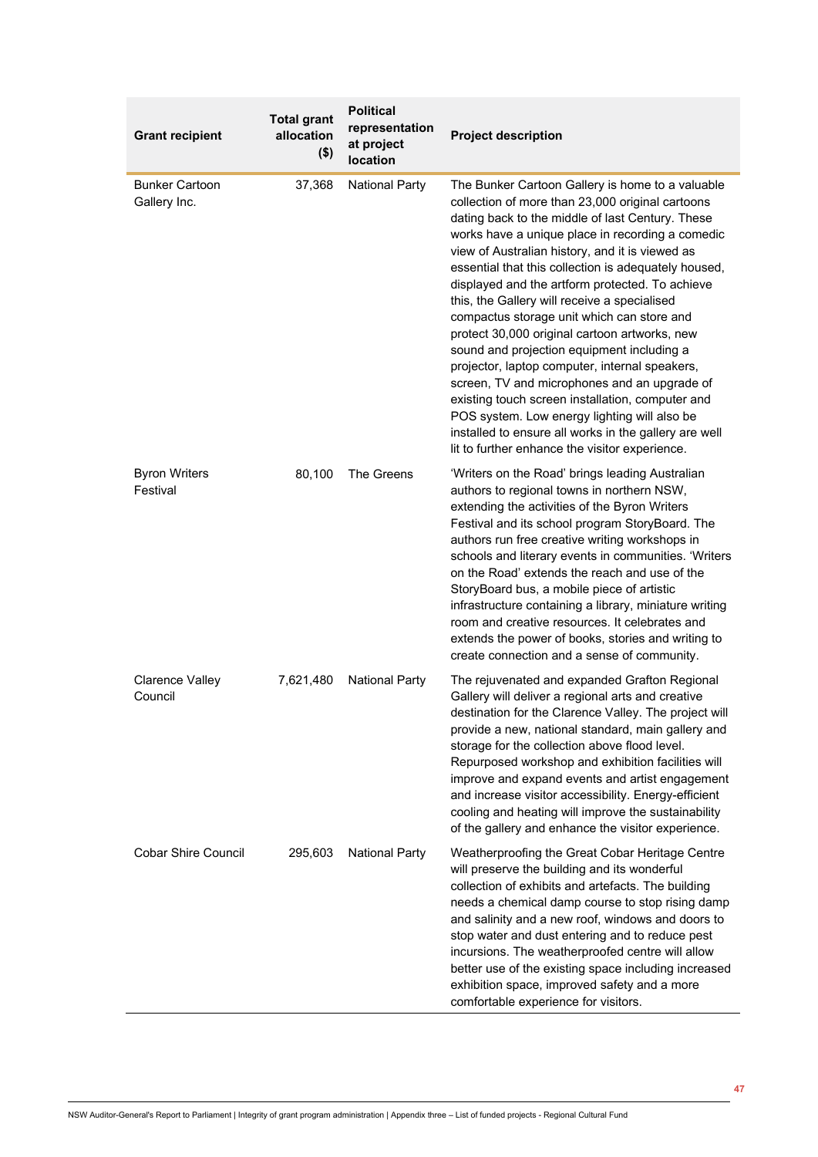| <b>Grant recipient</b>                | <b>Total grant</b><br>allocation<br>$($ \$) | <b>Political</b><br>representation<br>at project<br>location | <b>Project description</b>                                                                                                                                                                                                                                                                                                                                                                                                                                                                                                                                                                                                                                                                                                                                                                                                                                                               |
|---------------------------------------|---------------------------------------------|--------------------------------------------------------------|------------------------------------------------------------------------------------------------------------------------------------------------------------------------------------------------------------------------------------------------------------------------------------------------------------------------------------------------------------------------------------------------------------------------------------------------------------------------------------------------------------------------------------------------------------------------------------------------------------------------------------------------------------------------------------------------------------------------------------------------------------------------------------------------------------------------------------------------------------------------------------------|
| <b>Bunker Cartoon</b><br>Gallery Inc. | 37,368                                      | <b>National Party</b>                                        | The Bunker Cartoon Gallery is home to a valuable<br>collection of more than 23,000 original cartoons<br>dating back to the middle of last Century. These<br>works have a unique place in recording a comedic<br>view of Australian history, and it is viewed as<br>essential that this collection is adequately housed,<br>displayed and the artform protected. To achieve<br>this, the Gallery will receive a specialised<br>compactus storage unit which can store and<br>protect 30,000 original cartoon artworks, new<br>sound and projection equipment including a<br>projector, laptop computer, internal speakers,<br>screen, TV and microphones and an upgrade of<br>existing touch screen installation, computer and<br>POS system. Low energy lighting will also be<br>installed to ensure all works in the gallery are well<br>lit to further enhance the visitor experience. |
| <b>Byron Writers</b><br>Festival      | 80,100                                      | The Greens                                                   | 'Writers on the Road' brings leading Australian<br>authors to regional towns in northern NSW,<br>extending the activities of the Byron Writers<br>Festival and its school program StoryBoard. The<br>authors run free creative writing workshops in<br>schools and literary events in communities. 'Writers<br>on the Road' extends the reach and use of the<br>StoryBoard bus, a mobile piece of artistic<br>infrastructure containing a library, miniature writing<br>room and creative resources. It celebrates and<br>extends the power of books, stories and writing to<br>create connection and a sense of community.                                                                                                                                                                                                                                                              |
| <b>Clarence Valley</b><br>Council     | 7,621,480                                   | <b>National Party</b>                                        | The rejuvenated and expanded Grafton Regional<br>Gallery will deliver a regional arts and creative<br>destination for the Clarence Valley. The project will<br>provide a new, national standard, main gallery and<br>storage for the collection above flood level.<br>Repurposed workshop and exhibition facilities will<br>improve and expand events and artist engagement<br>and increase visitor accessibility. Energy-efficient<br>cooling and heating will improve the sustainability<br>of the gallery and enhance the visitor experience.                                                                                                                                                                                                                                                                                                                                         |
| <b>Cobar Shire Council</b>            | 295,603                                     | <b>National Party</b>                                        | Weatherproofing the Great Cobar Heritage Centre<br>will preserve the building and its wonderful<br>collection of exhibits and artefacts. The building<br>needs a chemical damp course to stop rising damp<br>and salinity and a new roof, windows and doors to<br>stop water and dust entering and to reduce pest<br>incursions. The weatherproofed centre will allow<br>better use of the existing space including increased<br>exhibition space, improved safety and a more<br>comfortable experience for visitors.                                                                                                                                                                                                                                                                                                                                                                    |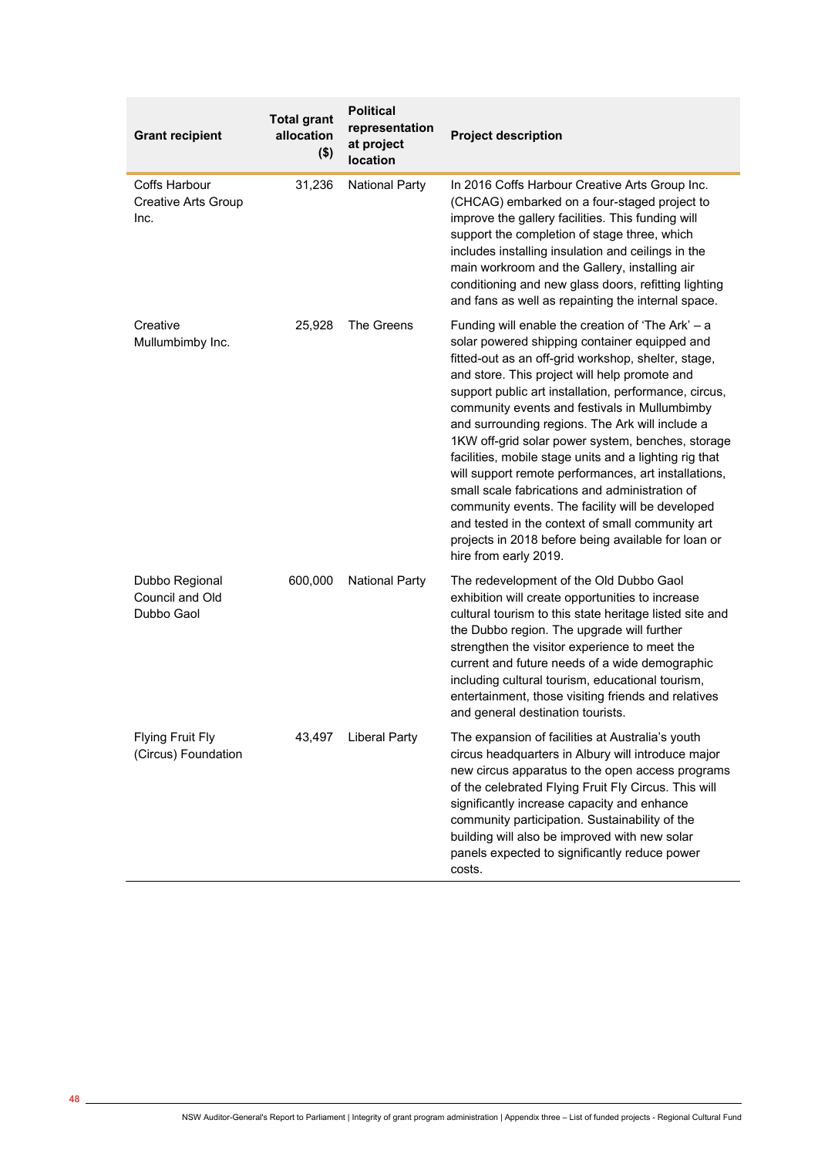| <b>Grant recipient</b>                                     | <b>Total grant</b><br>allocation<br>$($ \$) | <b>Political</b><br>representation<br>at project<br>location | <b>Project description</b>                                                                                                                                                                                                                                                                                                                                                                                                                                                                                                                                                                                                                                                                                                                                                               |
|------------------------------------------------------------|---------------------------------------------|--------------------------------------------------------------|------------------------------------------------------------------------------------------------------------------------------------------------------------------------------------------------------------------------------------------------------------------------------------------------------------------------------------------------------------------------------------------------------------------------------------------------------------------------------------------------------------------------------------------------------------------------------------------------------------------------------------------------------------------------------------------------------------------------------------------------------------------------------------------|
| <b>Coffs Harbour</b><br><b>Creative Arts Group</b><br>Inc. | 31,236                                      | <b>National Party</b>                                        | In 2016 Coffs Harbour Creative Arts Group Inc.<br>(CHCAG) embarked on a four-staged project to<br>improve the gallery facilities. This funding will<br>support the completion of stage three, which<br>includes installing insulation and ceilings in the<br>main workroom and the Gallery, installing air<br>conditioning and new glass doors, refitting lighting<br>and fans as well as repainting the internal space.                                                                                                                                                                                                                                                                                                                                                                 |
| Creative<br>Mullumbimby Inc.                               | 25,928                                      | The Greens                                                   | Funding will enable the creation of 'The Ark' - a<br>solar powered shipping container equipped and<br>fitted-out as an off-grid workshop, shelter, stage,<br>and store. This project will help promote and<br>support public art installation, performance, circus,<br>community events and festivals in Mullumbimby<br>and surrounding regions. The Ark will include a<br>1KW off-grid solar power system, benches, storage<br>facilities, mobile stage units and a lighting rig that<br>will support remote performances, art installations,<br>small scale fabrications and administration of<br>community events. The facility will be developed<br>and tested in the context of small community art<br>projects in 2018 before being available for loan or<br>hire from early 2019. |
| Dubbo Regional<br>Council and Old<br>Dubbo Gaol            | 600,000                                     | <b>National Party</b>                                        | The redevelopment of the Old Dubbo Gaol<br>exhibition will create opportunities to increase<br>cultural tourism to this state heritage listed site and<br>the Dubbo region. The upgrade will further<br>strengthen the visitor experience to meet the<br>current and future needs of a wide demographic<br>including cultural tourism, educational tourism,<br>entertainment, those visiting friends and relatives<br>and general destination tourists.                                                                                                                                                                                                                                                                                                                                  |
| <b>Flying Fruit Fly</b><br>(Circus) Foundation             | 43,497                                      | <b>Liberal Party</b>                                         | The expansion of facilities at Australia's youth<br>circus headquarters in Albury will introduce major<br>new circus apparatus to the open access programs<br>of the celebrated Flying Fruit Fly Circus. This will<br>significantly increase capacity and enhance<br>community participation. Sustainability of the<br>building will also be improved with new solar<br>panels expected to significantly reduce power<br>costs.                                                                                                                                                                                                                                                                                                                                                          |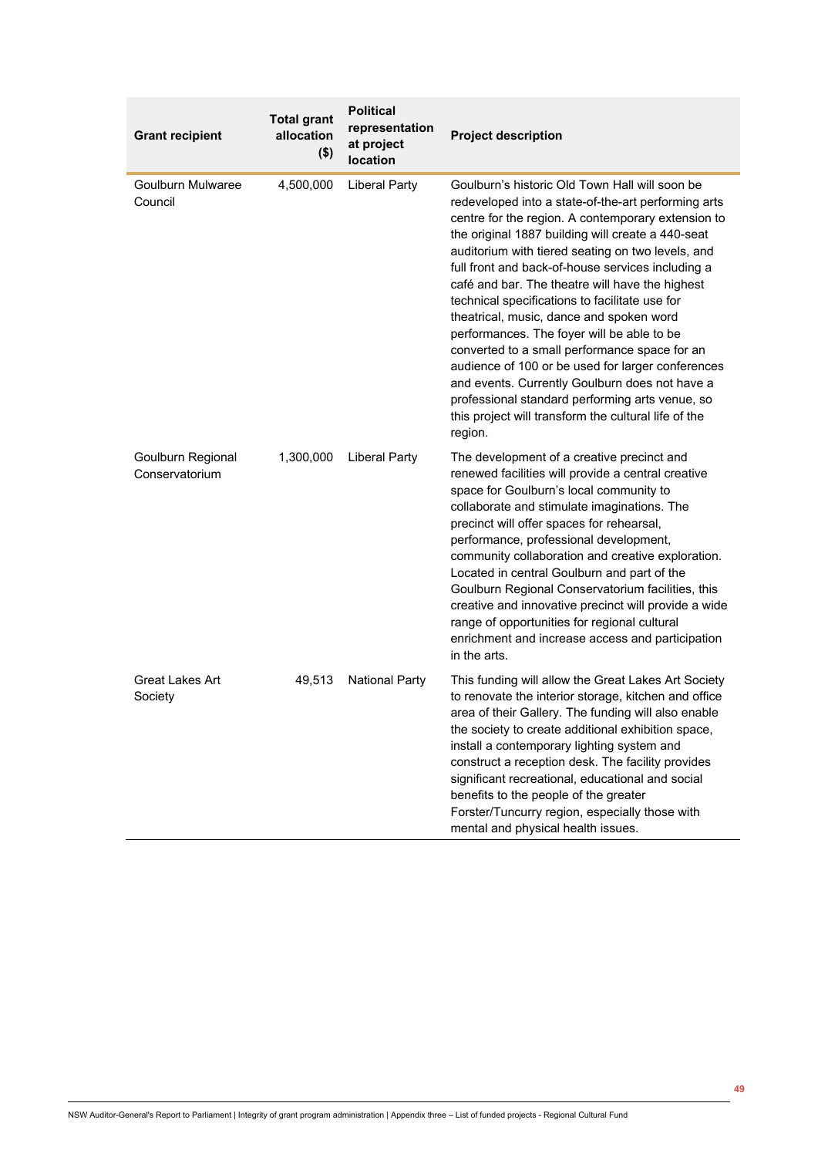| <b>Grant recipient</b>              | <b>Total grant</b><br>allocation<br>$($ \$) | <b>Political</b><br>representation<br>at project<br>location | <b>Project description</b>                                                                                                                                                                                                                                                                                                                                                                                                                                                                                                                                                                                                                                                                                                                                                                              |
|-------------------------------------|---------------------------------------------|--------------------------------------------------------------|---------------------------------------------------------------------------------------------------------------------------------------------------------------------------------------------------------------------------------------------------------------------------------------------------------------------------------------------------------------------------------------------------------------------------------------------------------------------------------------------------------------------------------------------------------------------------------------------------------------------------------------------------------------------------------------------------------------------------------------------------------------------------------------------------------|
| Goulburn Mulwaree<br>Council        | 4,500,000                                   | <b>Liberal Party</b>                                         | Goulburn's historic Old Town Hall will soon be<br>redeveloped into a state-of-the-art performing arts<br>centre for the region. A contemporary extension to<br>the original 1887 building will create a 440-seat<br>auditorium with tiered seating on two levels, and<br>full front and back-of-house services including a<br>café and bar. The theatre will have the highest<br>technical specifications to facilitate use for<br>theatrical, music, dance and spoken word<br>performances. The foyer will be able to be<br>converted to a small performance space for an<br>audience of 100 or be used for larger conferences<br>and events. Currently Goulburn does not have a<br>professional standard performing arts venue, so<br>this project will transform the cultural life of the<br>region. |
| Goulburn Regional<br>Conservatorium | 1,300,000                                   | <b>Liberal Party</b>                                         | The development of a creative precinct and<br>renewed facilities will provide a central creative<br>space for Goulburn's local community to<br>collaborate and stimulate imaginations. The<br>precinct will offer spaces for rehearsal,<br>performance, professional development,<br>community collaboration and creative exploration.<br>Located in central Goulburn and part of the<br>Goulburn Regional Conservatorium facilities, this<br>creative and innovative precinct will provide a wide<br>range of opportunities for regional cultural<br>enrichment and increase access and participation<br>in the arts.                                                                                                                                                                                  |
| Great Lakes Art<br>Society          | 49,513                                      | <b>National Party</b>                                        | This funding will allow the Great Lakes Art Society<br>to renovate the interior storage, kitchen and office<br>area of their Gallery. The funding will also enable<br>the society to create additional exhibition space,<br>install a contemporary lighting system and<br>construct a reception desk. The facility provides<br>significant recreational, educational and social<br>benefits to the people of the greater<br>Forster/Tuncurry region, especially those with<br>mental and physical health issues.                                                                                                                                                                                                                                                                                        |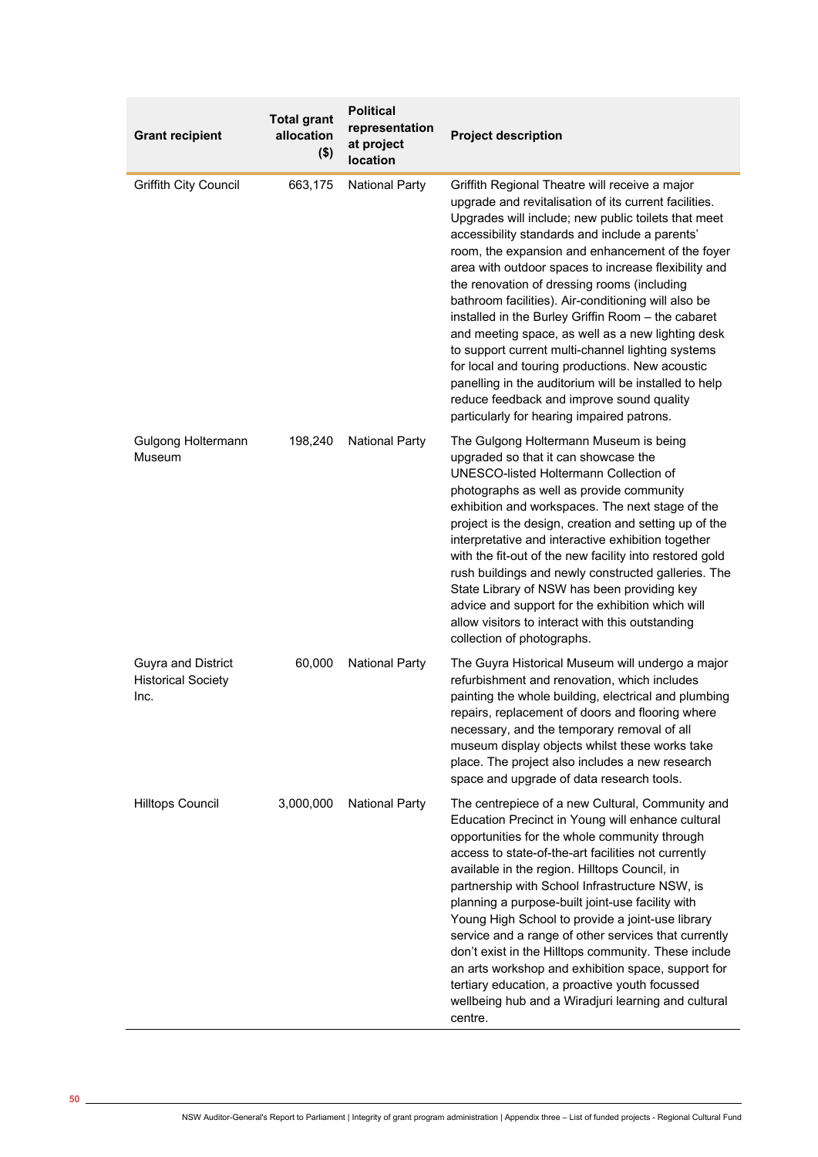| <b>Grant recipient</b>                                         | <b>Total grant</b><br>allocation<br>$($ \$) | <b>Political</b><br>representation<br>at project<br>location | <b>Project description</b>                                                                                                                                                                                                                                                                                                                                                                                                                                                                                                                                                                                                                                                                                                                                                                                |
|----------------------------------------------------------------|---------------------------------------------|--------------------------------------------------------------|-----------------------------------------------------------------------------------------------------------------------------------------------------------------------------------------------------------------------------------------------------------------------------------------------------------------------------------------------------------------------------------------------------------------------------------------------------------------------------------------------------------------------------------------------------------------------------------------------------------------------------------------------------------------------------------------------------------------------------------------------------------------------------------------------------------|
| <b>Griffith City Council</b>                                   | 663,175                                     | <b>National Party</b>                                        | Griffith Regional Theatre will receive a major<br>upgrade and revitalisation of its current facilities.<br>Upgrades will include; new public toilets that meet<br>accessibility standards and include a parents'<br>room, the expansion and enhancement of the foyer<br>area with outdoor spaces to increase flexibility and<br>the renovation of dressing rooms (including<br>bathroom facilities). Air-conditioning will also be<br>installed in the Burley Griffin Room - the cabaret<br>and meeting space, as well as a new lighting desk<br>to support current multi-channel lighting systems<br>for local and touring productions. New acoustic<br>panelling in the auditorium will be installed to help<br>reduce feedback and improve sound quality<br>particularly for hearing impaired patrons. |
| Gulgong Holtermann<br>Museum                                   | 198,240                                     | <b>National Party</b>                                        | The Gulgong Holtermann Museum is being<br>upgraded so that it can showcase the<br>UNESCO-listed Holtermann Collection of<br>photographs as well as provide community<br>exhibition and workspaces. The next stage of the<br>project is the design, creation and setting up of the<br>interpretative and interactive exhibition together<br>with the fit-out of the new facility into restored gold<br>rush buildings and newly constructed galleries. The<br>State Library of NSW has been providing key<br>advice and support for the exhibition which will<br>allow visitors to interact with this outstanding<br>collection of photographs.                                                                                                                                                            |
| <b>Guyra and District</b><br><b>Historical Society</b><br>Inc. | 60,000                                      | <b>National Party</b>                                        | The Guyra Historical Museum will undergo a major<br>refurbishment and renovation, which includes<br>painting the whole building, electrical and plumbing<br>repairs, replacement of doors and flooring where<br>necessary, and the temporary removal of all<br>museum display objects whilst these works take<br>place. The project also includes a new research<br>space and upgrade of data research tools.                                                                                                                                                                                                                                                                                                                                                                                             |
| <b>Hilltops Council</b>                                        | 3,000,000                                   | <b>National Party</b>                                        | The centrepiece of a new Cultural, Community and<br>Education Precinct in Young will enhance cultural<br>opportunities for the whole community through<br>access to state-of-the-art facilities not currently<br>available in the region. Hilltops Council, in<br>partnership with School Infrastructure NSW, is<br>planning a purpose-built joint-use facility with<br>Young High School to provide a joint-use library<br>service and a range of other services that currently<br>don't exist in the Hilltops community. These include<br>an arts workshop and exhibition space, support for<br>tertiary education, a proactive youth focussed<br>wellbeing hub and a Wiradjuri learning and cultural<br>centre.                                                                                        |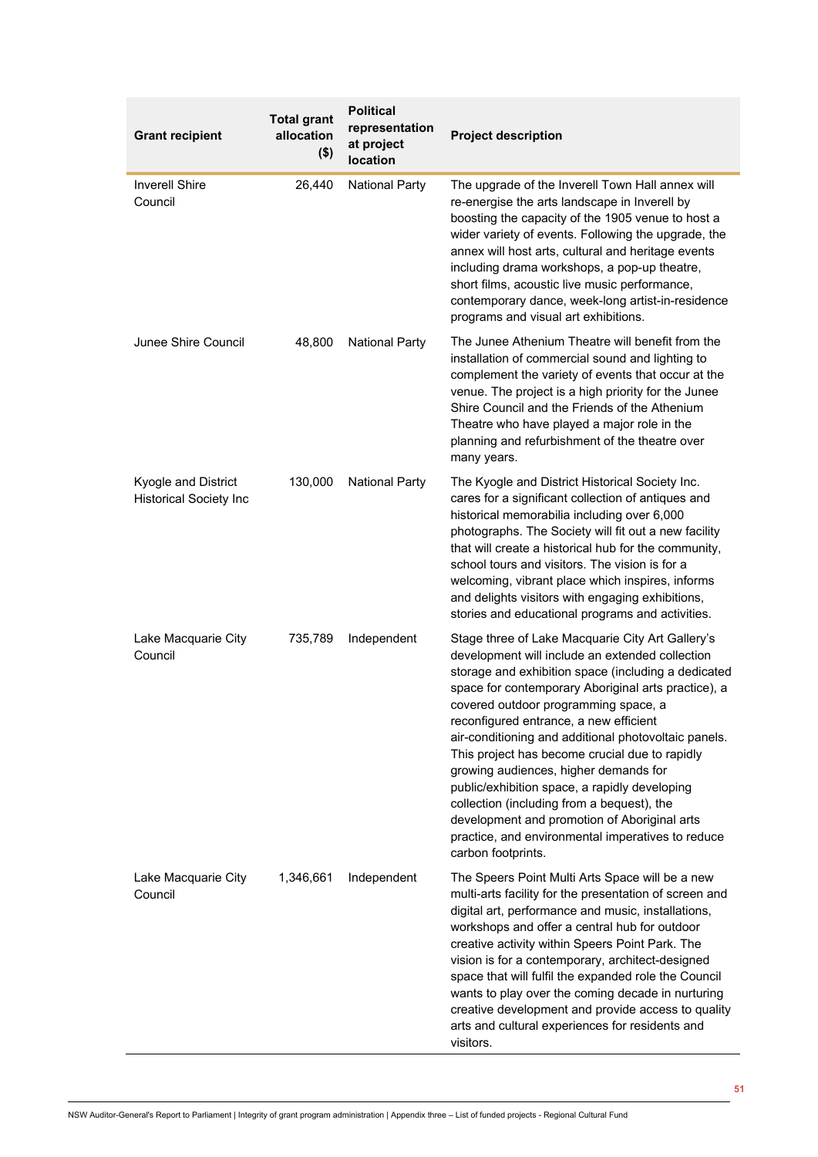| <b>Grant recipient</b>                               | <b>Total grant</b><br>allocation<br>$($ \$) | <b>Political</b><br>representation<br>at project<br>location | <b>Project description</b>                                                                                                                                                                                                                                                                                                                                                                                                                                                                                                                                                                                                                                                       |
|------------------------------------------------------|---------------------------------------------|--------------------------------------------------------------|----------------------------------------------------------------------------------------------------------------------------------------------------------------------------------------------------------------------------------------------------------------------------------------------------------------------------------------------------------------------------------------------------------------------------------------------------------------------------------------------------------------------------------------------------------------------------------------------------------------------------------------------------------------------------------|
| <b>Inverell Shire</b><br>Council                     | 26,440                                      | <b>National Party</b>                                        | The upgrade of the Inverell Town Hall annex will<br>re-energise the arts landscape in Inverell by<br>boosting the capacity of the 1905 venue to host a<br>wider variety of events. Following the upgrade, the<br>annex will host arts, cultural and heritage events<br>including drama workshops, a pop-up theatre,<br>short films, acoustic live music performance,<br>contemporary dance, week-long artist-in-residence<br>programs and visual art exhibitions.                                                                                                                                                                                                                |
| Junee Shire Council                                  | 48,800                                      | <b>National Party</b>                                        | The Junee Athenium Theatre will benefit from the<br>installation of commercial sound and lighting to<br>complement the variety of events that occur at the<br>venue. The project is a high priority for the Junee<br>Shire Council and the Friends of the Athenium<br>Theatre who have played a major role in the<br>planning and refurbishment of the theatre over<br>many years.                                                                                                                                                                                                                                                                                               |
| Kyogle and District<br><b>Historical Society Inc</b> | 130,000                                     | <b>National Party</b>                                        | The Kyogle and District Historical Society Inc.<br>cares for a significant collection of antiques and<br>historical memorabilia including over 6,000<br>photographs. The Society will fit out a new facility<br>that will create a historical hub for the community,<br>school tours and visitors. The vision is for a<br>welcoming, vibrant place which inspires, informs<br>and delights visitors with engaging exhibitions,<br>stories and educational programs and activities.                                                                                                                                                                                               |
| Lake Macquarie City<br>Council                       | 735,789                                     | Independent                                                  | Stage three of Lake Macquarie City Art Gallery's<br>development will include an extended collection<br>storage and exhibition space (including a dedicated<br>space for contemporary Aboriginal arts practice), a<br>covered outdoor programming space, a<br>reconfigured entrance, a new efficient<br>air-conditioning and additional photovoltaic panels.<br>This project has become crucial due to rapidly<br>growing audiences, higher demands for<br>public/exhibition space, a rapidly developing<br>collection (including from a bequest), the<br>development and promotion of Aboriginal arts<br>practice, and environmental imperatives to reduce<br>carbon footprints. |
| Lake Macquarie City<br>Council                       | 1,346,661                                   | Independent                                                  | The Speers Point Multi Arts Space will be a new<br>multi-arts facility for the presentation of screen and<br>digital art, performance and music, installations,<br>workshops and offer a central hub for outdoor<br>creative activity within Speers Point Park. The<br>vision is for a contemporary, architect-designed<br>space that will fulfil the expanded role the Council<br>wants to play over the coming decade in nurturing<br>creative development and provide access to quality<br>arts and cultural experiences for residents and<br>visitors.                                                                                                                       |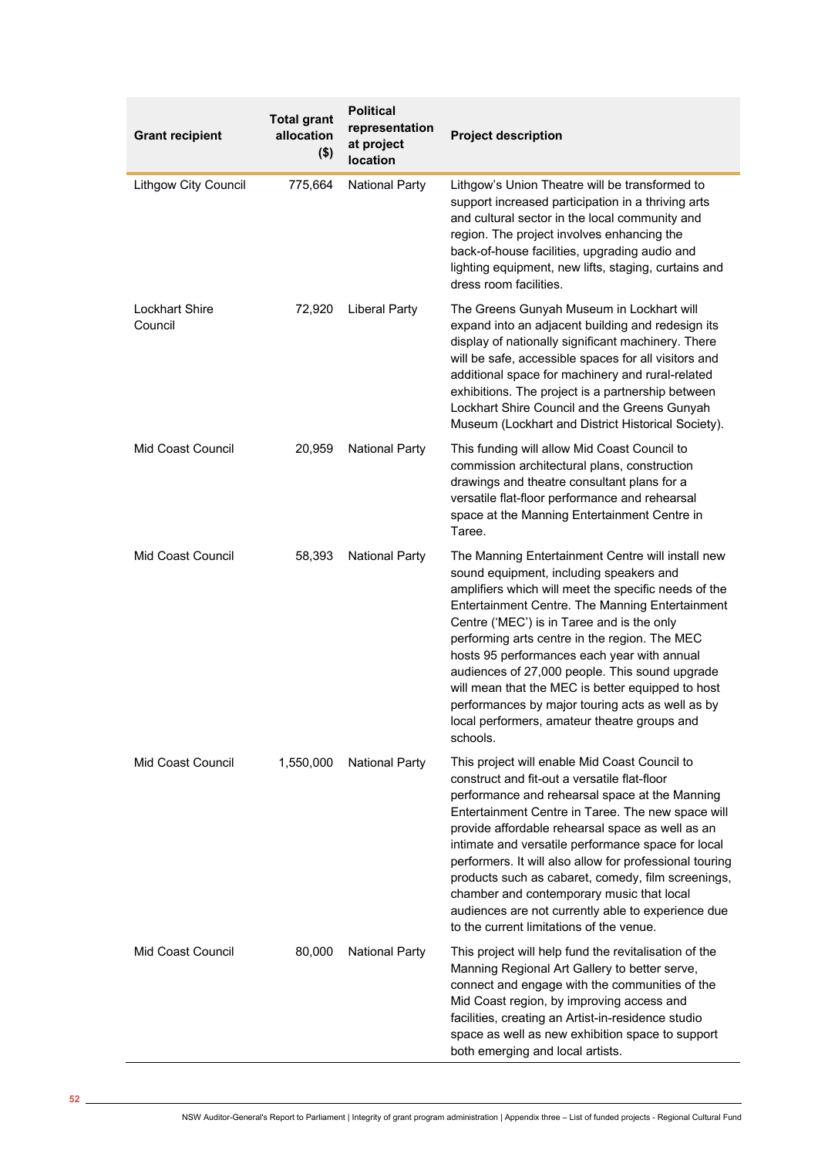| <b>Grant recipient</b>           | <b>Total grant</b><br>allocation<br>$($ \$) | <b>Political</b><br>representation<br>at project<br>location | <b>Project description</b>                                                                                                                                                                                                                                                                                                                                                                                                                                                                                                                                                     |
|----------------------------------|---------------------------------------------|--------------------------------------------------------------|--------------------------------------------------------------------------------------------------------------------------------------------------------------------------------------------------------------------------------------------------------------------------------------------------------------------------------------------------------------------------------------------------------------------------------------------------------------------------------------------------------------------------------------------------------------------------------|
| <b>Lithgow City Council</b>      | 775,664                                     | <b>National Party</b>                                        | Lithgow's Union Theatre will be transformed to<br>support increased participation in a thriving arts<br>and cultural sector in the local community and<br>region. The project involves enhancing the<br>back-of-house facilities, upgrading audio and<br>lighting equipment, new lifts, staging, curtains and<br>dress room facilities.                                                                                                                                                                                                                                        |
| <b>Lockhart Shire</b><br>Council | 72,920                                      | <b>Liberal Party</b>                                         | The Greens Gunyah Museum in Lockhart will<br>expand into an adjacent building and redesign its<br>display of nationally significant machinery. There<br>will be safe, accessible spaces for all visitors and<br>additional space for machinery and rural-related<br>exhibitions. The project is a partnership between<br>Lockhart Shire Council and the Greens Gunyah<br>Museum (Lockhart and District Historical Society).                                                                                                                                                    |
| Mid Coast Council                | 20,959                                      | <b>National Party</b>                                        | This funding will allow Mid Coast Council to<br>commission architectural plans, construction<br>drawings and theatre consultant plans for a<br>versatile flat-floor performance and rehearsal<br>space at the Manning Entertainment Centre in<br>Taree.                                                                                                                                                                                                                                                                                                                        |
| <b>Mid Coast Council</b>         | 58,393                                      | <b>National Party</b>                                        | The Manning Entertainment Centre will install new<br>sound equipment, including speakers and<br>amplifiers which will meet the specific needs of the<br>Entertainment Centre. The Manning Entertainment<br>Centre ('MEC') is in Taree and is the only<br>performing arts centre in the region. The MEC<br>hosts 95 performances each year with annual<br>audiences of 27,000 people. This sound upgrade<br>will mean that the MEC is better equipped to host<br>performances by major touring acts as well as by<br>local performers, amateur theatre groups and<br>schools.   |
| Mid Coast Council                | 1,550,000                                   | <b>National Party</b>                                        | This project will enable Mid Coast Council to<br>construct and fit-out a versatile flat-floor<br>performance and rehearsal space at the Manning<br>Entertainment Centre in Taree. The new space will<br>provide affordable rehearsal space as well as an<br>intimate and versatile performance space for local<br>performers. It will also allow for professional touring<br>products such as cabaret, comedy, film screenings,<br>chamber and contemporary music that local<br>audiences are not currently able to experience due<br>to the current limitations of the venue. |
| Mid Coast Council                | 80,000                                      | <b>National Party</b>                                        | This project will help fund the revitalisation of the<br>Manning Regional Art Gallery to better serve,<br>connect and engage with the communities of the<br>Mid Coast region, by improving access and<br>facilities, creating an Artist-in-residence studio<br>space as well as new exhibition space to support<br>both emerging and local artists.                                                                                                                                                                                                                            |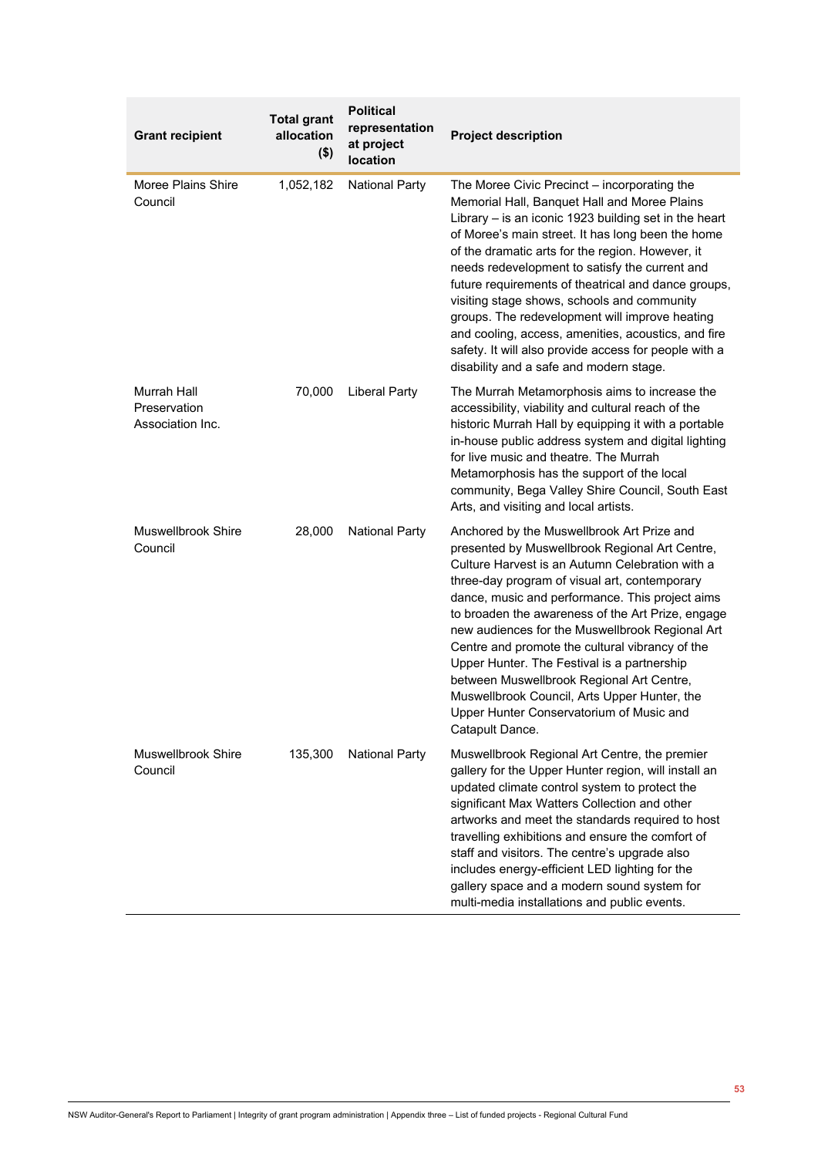| <b>Grant recipient</b>                          | <b>Total grant</b><br>allocation<br>$($ \$) | <b>Political</b><br>representation<br>at project<br>location | <b>Project description</b>                                                                                                                                                                                                                                                                                                                                                                                                                                                                                                                                                                                                            |
|-------------------------------------------------|---------------------------------------------|--------------------------------------------------------------|---------------------------------------------------------------------------------------------------------------------------------------------------------------------------------------------------------------------------------------------------------------------------------------------------------------------------------------------------------------------------------------------------------------------------------------------------------------------------------------------------------------------------------------------------------------------------------------------------------------------------------------|
| Moree Plains Shire<br>Council                   | 1,052,182                                   | <b>National Party</b>                                        | The Moree Civic Precinct - incorporating the<br>Memorial Hall, Banquet Hall and Moree Plains<br>Library $-$ is an iconic 1923 building set in the heart<br>of Moree's main street. It has long been the home<br>of the dramatic arts for the region. However, it<br>needs redevelopment to satisfy the current and<br>future requirements of theatrical and dance groups,<br>visiting stage shows, schools and community<br>groups. The redevelopment will improve heating<br>and cooling, access, amenities, acoustics, and fire<br>safety. It will also provide access for people with a<br>disability and a safe and modern stage. |
| Murrah Hall<br>Preservation<br>Association Inc. | 70,000                                      | <b>Liberal Party</b>                                         | The Murrah Metamorphosis aims to increase the<br>accessibility, viability and cultural reach of the<br>historic Murrah Hall by equipping it with a portable<br>in-house public address system and digital lighting<br>for live music and theatre. The Murrah<br>Metamorphosis has the support of the local<br>community, Bega Valley Shire Council, South East<br>Arts, and visiting and local artists.                                                                                                                                                                                                                               |
| <b>Muswellbrook Shire</b><br>Council            | 28,000                                      | <b>National Party</b>                                        | Anchored by the Muswellbrook Art Prize and<br>presented by Muswellbrook Regional Art Centre,<br>Culture Harvest is an Autumn Celebration with a<br>three-day program of visual art, contemporary<br>dance, music and performance. This project aims<br>to broaden the awareness of the Art Prize, engage<br>new audiences for the Muswellbrook Regional Art<br>Centre and promote the cultural vibrancy of the<br>Upper Hunter. The Festival is a partnership<br>between Muswellbrook Regional Art Centre,<br>Muswellbrook Council, Arts Upper Hunter, the<br>Upper Hunter Conservatorium of Music and<br>Catapult Dance.             |
| Muswellbrook Shire<br>Council                   | 135,300                                     | <b>National Party</b>                                        | Muswellbrook Regional Art Centre, the premier<br>gallery for the Upper Hunter region, will install an<br>updated climate control system to protect the<br>significant Max Watters Collection and other<br>artworks and meet the standards required to host<br>travelling exhibitions and ensure the comfort of<br>staff and visitors. The centre's upgrade also<br>includes energy-efficient LED lighting for the<br>gallery space and a modern sound system for<br>multi-media installations and public events.                                                                                                                      |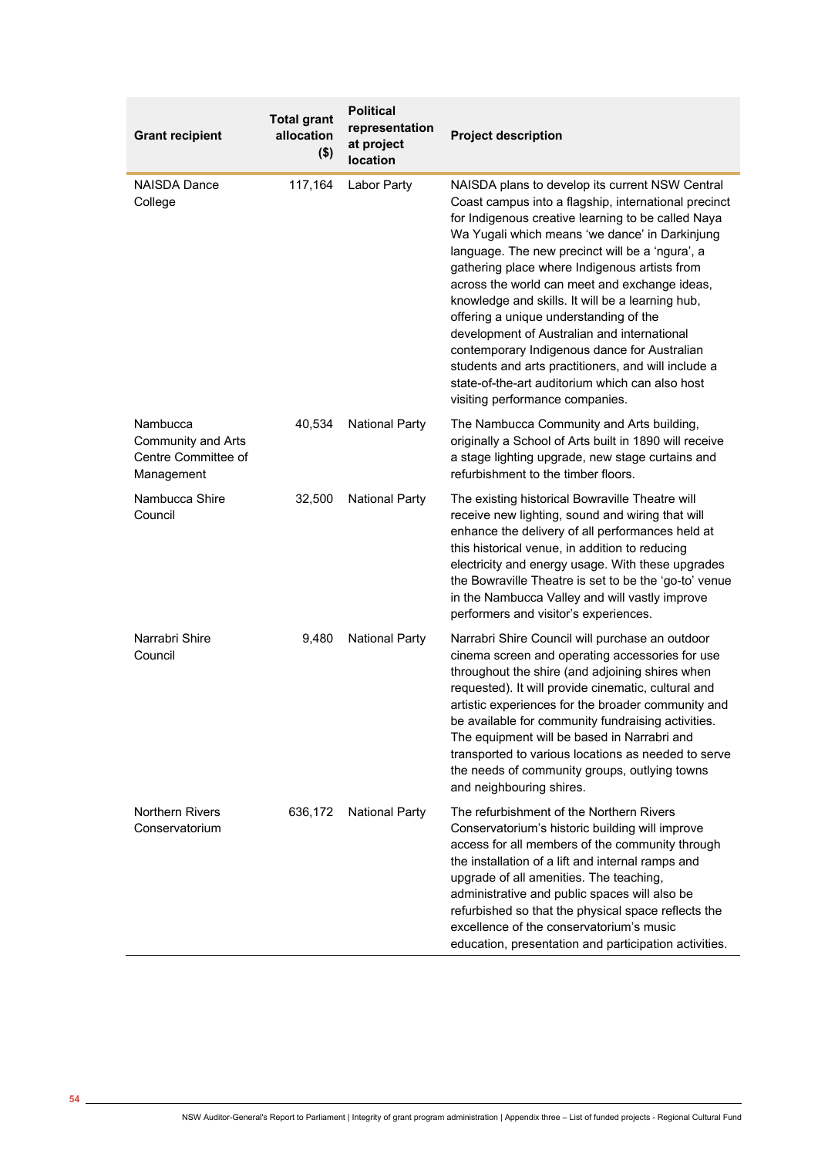| <b>Grant recipient</b>                                                     | <b>Total grant</b><br>allocation<br>$($ \$) | <b>Political</b><br>representation<br>at project<br>location | <b>Project description</b>                                                                                                                                                                                                                                                                                                                                                                                                                                                                                                                                                                                                                                                                                     |
|----------------------------------------------------------------------------|---------------------------------------------|--------------------------------------------------------------|----------------------------------------------------------------------------------------------------------------------------------------------------------------------------------------------------------------------------------------------------------------------------------------------------------------------------------------------------------------------------------------------------------------------------------------------------------------------------------------------------------------------------------------------------------------------------------------------------------------------------------------------------------------------------------------------------------------|
| NAISDA Dance<br>College                                                    | 117,164                                     | Labor Party                                                  | NAISDA plans to develop its current NSW Central<br>Coast campus into a flagship, international precinct<br>for Indigenous creative learning to be called Naya<br>Wa Yugali which means 'we dance' in Darkinjung<br>language. The new precinct will be a 'ngura', a<br>gathering place where Indigenous artists from<br>across the world can meet and exchange ideas,<br>knowledge and skills. It will be a learning hub,<br>offering a unique understanding of the<br>development of Australian and international<br>contemporary Indigenous dance for Australian<br>students and arts practitioners, and will include a<br>state-of-the-art auditorium which can also host<br>visiting performance companies. |
| Nambucca<br><b>Community and Arts</b><br>Centre Committee of<br>Management | 40,534                                      | <b>National Party</b>                                        | The Nambucca Community and Arts building,<br>originally a School of Arts built in 1890 will receive<br>a stage lighting upgrade, new stage curtains and<br>refurbishment to the timber floors.                                                                                                                                                                                                                                                                                                                                                                                                                                                                                                                 |
| Nambucca Shire<br>Council                                                  | 32,500                                      | <b>National Party</b>                                        | The existing historical Bowraville Theatre will<br>receive new lighting, sound and wiring that will<br>enhance the delivery of all performances held at<br>this historical venue, in addition to reducing<br>electricity and energy usage. With these upgrades<br>the Bowraville Theatre is set to be the 'go-to' venue<br>in the Nambucca Valley and will vastly improve<br>performers and visitor's experiences.                                                                                                                                                                                                                                                                                             |
| Narrabri Shire<br>Council                                                  | 9,480                                       | <b>National Party</b>                                        | Narrabri Shire Council will purchase an outdoor<br>cinema screen and operating accessories for use<br>throughout the shire (and adjoining shires when<br>requested). It will provide cinematic, cultural and<br>artistic experiences for the broader community and<br>be available for community fundraising activities.<br>The equipment will be based in Narrabri and<br>transported to various locations as needed to serve<br>the needs of community groups, outlying towns<br>and neighbouring shires.                                                                                                                                                                                                    |
| <b>Northern Rivers</b><br>Conservatorium                                   | 636,172                                     | <b>National Party</b>                                        | The refurbishment of the Northern Rivers<br>Conservatorium's historic building will improve<br>access for all members of the community through<br>the installation of a lift and internal ramps and<br>upgrade of all amenities. The teaching,<br>administrative and public spaces will also be<br>refurbished so that the physical space reflects the<br>excellence of the conservatorium's music<br>education, presentation and participation activities.                                                                                                                                                                                                                                                    |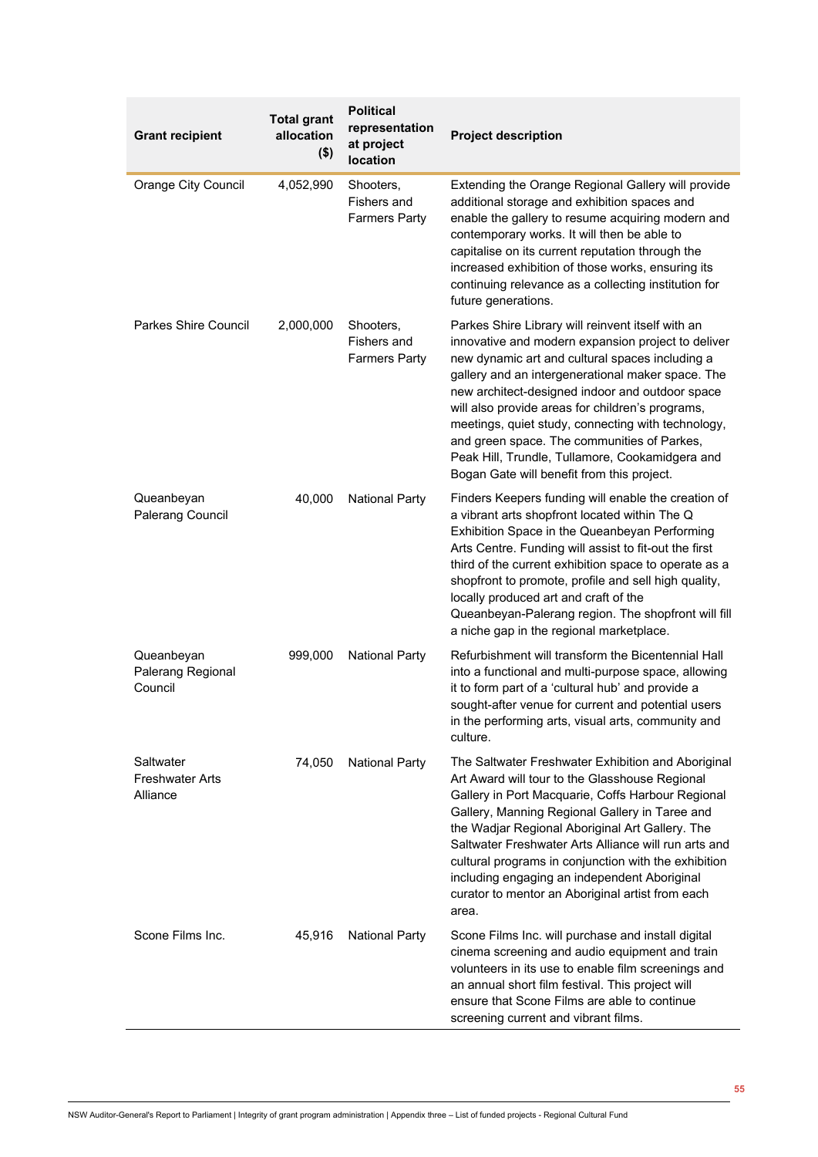| <b>Grant recipient</b>                          | <b>Total grant</b><br>allocation<br>$($ \$) | <b>Political</b><br>representation<br>at project<br>location | <b>Project description</b>                                                                                                                                                                                                                                                                                                                                                                                                                                                                                                   |
|-------------------------------------------------|---------------------------------------------|--------------------------------------------------------------|------------------------------------------------------------------------------------------------------------------------------------------------------------------------------------------------------------------------------------------------------------------------------------------------------------------------------------------------------------------------------------------------------------------------------------------------------------------------------------------------------------------------------|
| <b>Orange City Council</b>                      | 4,052,990                                   | Shooters,<br>Fishers and<br><b>Farmers Party</b>             | Extending the Orange Regional Gallery will provide<br>additional storage and exhibition spaces and<br>enable the gallery to resume acquiring modern and<br>contemporary works. It will then be able to<br>capitalise on its current reputation through the<br>increased exhibition of those works, ensuring its<br>continuing relevance as a collecting institution for<br>future generations.                                                                                                                               |
| <b>Parkes Shire Council</b>                     | 2,000,000                                   | Shooters,<br>Fishers and<br><b>Farmers Party</b>             | Parkes Shire Library will reinvent itself with an<br>innovative and modern expansion project to deliver<br>new dynamic art and cultural spaces including a<br>gallery and an intergenerational maker space. The<br>new architect-designed indoor and outdoor space<br>will also provide areas for children's programs,<br>meetings, quiet study, connecting with technology,<br>and green space. The communities of Parkes,<br>Peak Hill, Trundle, Tullamore, Cookamidgera and<br>Bogan Gate will benefit from this project. |
| Queanbeyan<br>Palerang Council                  | 40,000                                      | <b>National Party</b>                                        | Finders Keepers funding will enable the creation of<br>a vibrant arts shopfront located within The Q<br>Exhibition Space in the Queanbeyan Performing<br>Arts Centre. Funding will assist to fit-out the first<br>third of the current exhibition space to operate as a<br>shopfront to promote, profile and sell high quality,<br>locally produced art and craft of the<br>Queanbeyan-Palerang region. The shopfront will fill<br>a niche gap in the regional marketplace.                                                  |
| Queanbeyan<br>Palerang Regional<br>Council      | 999,000                                     | <b>National Party</b>                                        | Refurbishment will transform the Bicentennial Hall<br>into a functional and multi-purpose space, allowing<br>it to form part of a 'cultural hub' and provide a<br>sought-after venue for current and potential users<br>in the performing arts, visual arts, community and<br>culture.                                                                                                                                                                                                                                       |
| Saltwater<br><b>Freshwater Arts</b><br>Alliance | 74,050                                      | <b>National Party</b>                                        | The Saltwater Freshwater Exhibition and Aboriginal<br>Art Award will tour to the Glasshouse Regional<br>Gallery in Port Macquarie, Coffs Harbour Regional<br>Gallery, Manning Regional Gallery in Taree and<br>the Wadjar Regional Aboriginal Art Gallery. The<br>Saltwater Freshwater Arts Alliance will run arts and<br>cultural programs in conjunction with the exhibition<br>including engaging an independent Aboriginal<br>curator to mentor an Aboriginal artist from each<br>area.                                  |
| Scone Films Inc.                                | 45,916                                      | <b>National Party</b>                                        | Scone Films Inc. will purchase and install digital<br>cinema screening and audio equipment and train<br>volunteers in its use to enable film screenings and<br>an annual short film festival. This project will<br>ensure that Scone Films are able to continue<br>screening current and vibrant films.                                                                                                                                                                                                                      |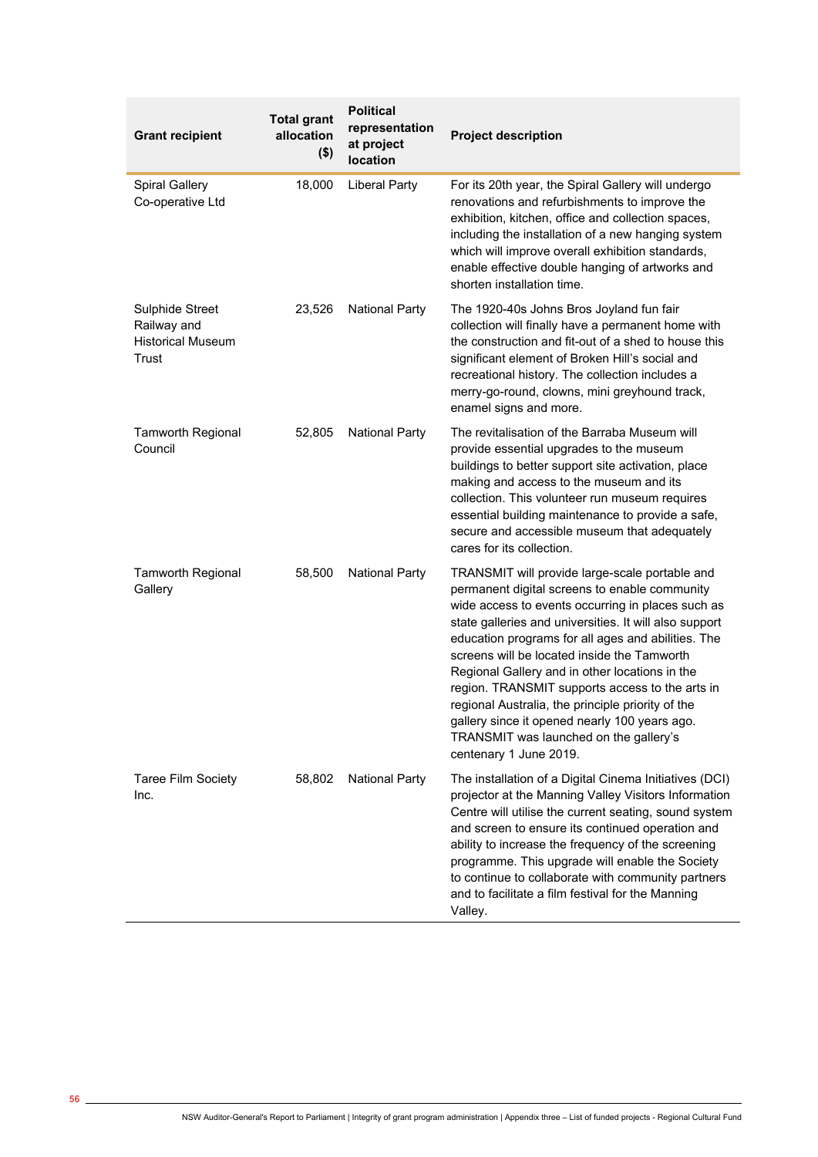| <b>Grant recipient</b>                                              | <b>Total grant</b><br>allocation<br>$($ \$) | <b>Political</b><br>representation<br>at project<br>location | <b>Project description</b>                                                                                                                                                                                                                                                                                                                                                                                                                                                                                                                                                                         |
|---------------------------------------------------------------------|---------------------------------------------|--------------------------------------------------------------|----------------------------------------------------------------------------------------------------------------------------------------------------------------------------------------------------------------------------------------------------------------------------------------------------------------------------------------------------------------------------------------------------------------------------------------------------------------------------------------------------------------------------------------------------------------------------------------------------|
| <b>Spiral Gallery</b><br>Co-operative Ltd                           | 18,000                                      | <b>Liberal Party</b>                                         | For its 20th year, the Spiral Gallery will undergo<br>renovations and refurbishments to improve the<br>exhibition, kitchen, office and collection spaces,<br>including the installation of a new hanging system<br>which will improve overall exhibition standards,<br>enable effective double hanging of artworks and<br>shorten installation time.                                                                                                                                                                                                                                               |
| Sulphide Street<br>Railway and<br><b>Historical Museum</b><br>Trust | 23,526                                      | <b>National Party</b>                                        | The 1920-40s Johns Bros Joyland fun fair<br>collection will finally have a permanent home with<br>the construction and fit-out of a shed to house this<br>significant element of Broken Hill's social and<br>recreational history. The collection includes a<br>merry-go-round, clowns, mini greyhound track,<br>enamel signs and more.                                                                                                                                                                                                                                                            |
| <b>Tamworth Regional</b><br>Council                                 | 52,805                                      | <b>National Party</b>                                        | The revitalisation of the Barraba Museum will<br>provide essential upgrades to the museum<br>buildings to better support site activation, place<br>making and access to the museum and its<br>collection. This volunteer run museum requires<br>essential building maintenance to provide a safe,<br>secure and accessible museum that adequately<br>cares for its collection.                                                                                                                                                                                                                     |
| <b>Tamworth Regional</b><br>Gallery                                 | 58,500                                      | <b>National Party</b>                                        | TRANSMIT will provide large-scale portable and<br>permanent digital screens to enable community<br>wide access to events occurring in places such as<br>state galleries and universities. It will also support<br>education programs for all ages and abilities. The<br>screens will be located inside the Tamworth<br>Regional Gallery and in other locations in the<br>region. TRANSMIT supports access to the arts in<br>regional Australia, the principle priority of the<br>gallery since it opened nearly 100 years ago.<br>TRANSMIT was launched on the gallery's<br>centenary 1 June 2019. |
| <b>Taree Film Society</b><br>Inc.                                   | 58,802                                      | <b>National Party</b>                                        | The installation of a Digital Cinema Initiatives (DCI)<br>projector at the Manning Valley Visitors Information<br>Centre will utilise the current seating, sound system<br>and screen to ensure its continued operation and<br>ability to increase the frequency of the screening<br>programme. This upgrade will enable the Society<br>to continue to collaborate with community partners<br>and to facilitate a film festival for the Manning<br>Valley.                                                                                                                                         |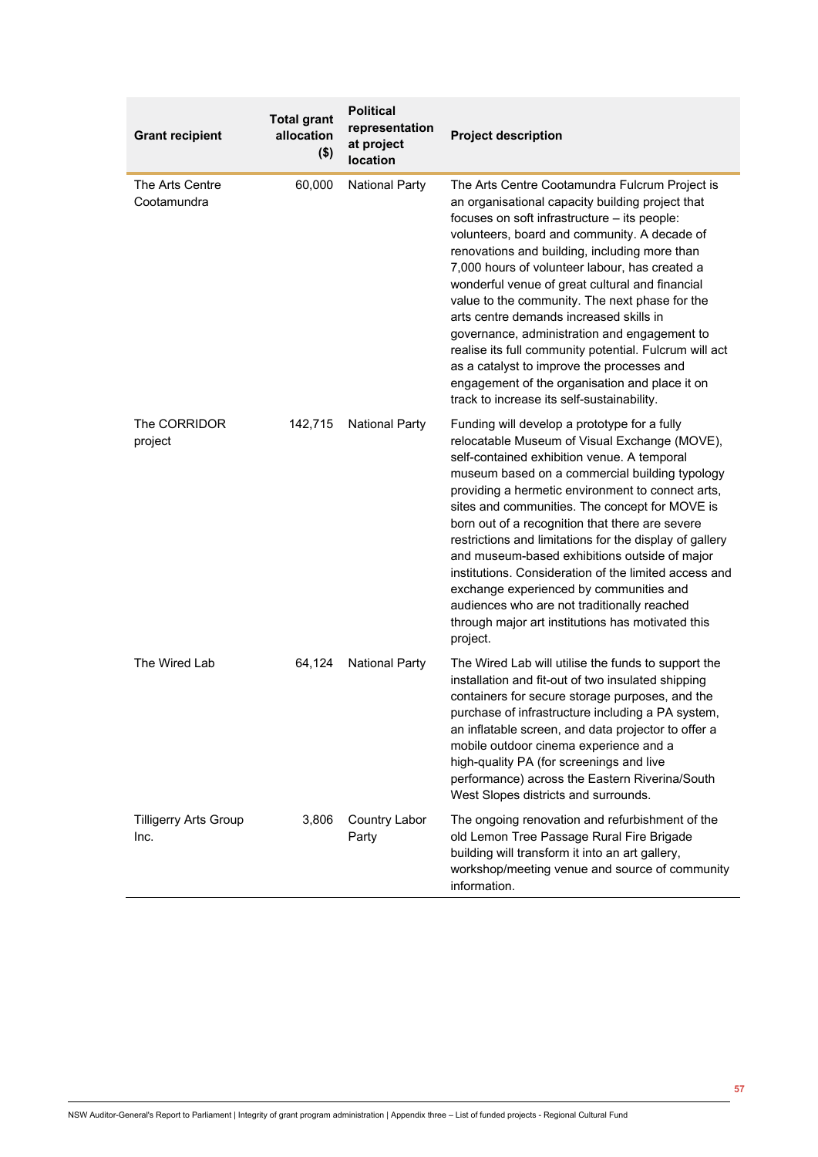| <b>Grant recipient</b>               | <b>Total grant</b><br>allocation<br>$($ \$) | <b>Political</b><br>representation<br>at project<br>location | <b>Project description</b>                                                                                                                                                                                                                                                                                                                                                                                                                                                                                                                                                                                                                                                                                    |
|--------------------------------------|---------------------------------------------|--------------------------------------------------------------|---------------------------------------------------------------------------------------------------------------------------------------------------------------------------------------------------------------------------------------------------------------------------------------------------------------------------------------------------------------------------------------------------------------------------------------------------------------------------------------------------------------------------------------------------------------------------------------------------------------------------------------------------------------------------------------------------------------|
| The Arts Centre<br>Cootamundra       | 60,000                                      | <b>National Party</b>                                        | The Arts Centre Cootamundra Fulcrum Project is<br>an organisational capacity building project that<br>focuses on soft infrastructure - its people:<br>volunteers, board and community. A decade of<br>renovations and building, including more than<br>7,000 hours of volunteer labour, has created a<br>wonderful venue of great cultural and financial<br>value to the community. The next phase for the<br>arts centre demands increased skills in<br>governance, administration and engagement to<br>realise its full community potential. Fulcrum will act<br>as a catalyst to improve the processes and<br>engagement of the organisation and place it on<br>track to increase its self-sustainability. |
| The CORRIDOR<br>project              | 142,715                                     | <b>National Party</b>                                        | Funding will develop a prototype for a fully<br>relocatable Museum of Visual Exchange (MOVE),<br>self-contained exhibition venue. A temporal<br>museum based on a commercial building typology<br>providing a hermetic environment to connect arts,<br>sites and communities. The concept for MOVE is<br>born out of a recognition that there are severe<br>restrictions and limitations for the display of gallery<br>and museum-based exhibitions outside of major<br>institutions. Consideration of the limited access and<br>exchange experienced by communities and<br>audiences who are not traditionally reached<br>through major art institutions has motivated this<br>project.                      |
| The Wired Lab                        | 64,124                                      | <b>National Party</b>                                        | The Wired Lab will utilise the funds to support the<br>installation and fit-out of two insulated shipping<br>containers for secure storage purposes, and the<br>purchase of infrastructure including a PA system,<br>an inflatable screen, and data projector to offer a<br>mobile outdoor cinema experience and a<br>high-quality PA (for screenings and live<br>performance) across the Eastern Riverina/South<br>West Slopes districts and surrounds.                                                                                                                                                                                                                                                      |
| <b>Tilligerry Arts Group</b><br>Inc. | 3,806                                       | <b>Country Labor</b><br>Party                                | The ongoing renovation and refurbishment of the<br>old Lemon Tree Passage Rural Fire Brigade<br>building will transform it into an art gallery,<br>workshop/meeting venue and source of community<br>information.                                                                                                                                                                                                                                                                                                                                                                                                                                                                                             |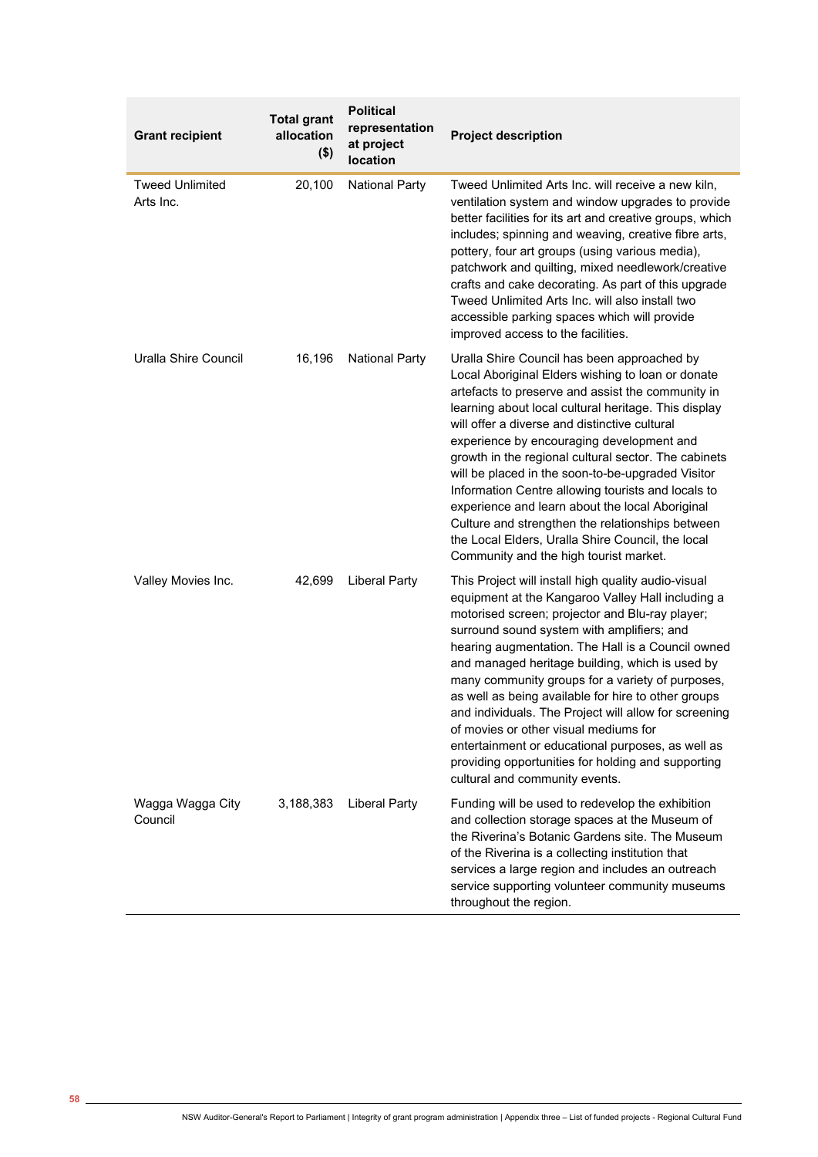| <b>Grant recipient</b>              | <b>Total grant</b><br>allocation<br>$($ \$) | <b>Political</b><br>representation<br>at project<br>location | <b>Project description</b>                                                                                                                                                                                                                                                                                                                                                                                                                                                                                                                                                                                                                                                           |
|-------------------------------------|---------------------------------------------|--------------------------------------------------------------|--------------------------------------------------------------------------------------------------------------------------------------------------------------------------------------------------------------------------------------------------------------------------------------------------------------------------------------------------------------------------------------------------------------------------------------------------------------------------------------------------------------------------------------------------------------------------------------------------------------------------------------------------------------------------------------|
| <b>Tweed Unlimited</b><br>Arts Inc. | 20,100                                      | <b>National Party</b>                                        | Tweed Unlimited Arts Inc. will receive a new kiln,<br>ventilation system and window upgrades to provide<br>better facilities for its art and creative groups, which<br>includes; spinning and weaving, creative fibre arts,<br>pottery, four art groups (using various media),<br>patchwork and quilting, mixed needlework/creative<br>crafts and cake decorating. As part of this upgrade<br>Tweed Unlimited Arts Inc. will also install two<br>accessible parking spaces which will provide<br>improved access to the facilities.                                                                                                                                                  |
| Uralla Shire Council                | 16,196                                      | <b>National Party</b>                                        | Uralla Shire Council has been approached by<br>Local Aboriginal Elders wishing to loan or donate<br>artefacts to preserve and assist the community in<br>learning about local cultural heritage. This display<br>will offer a diverse and distinctive cultural<br>experience by encouraging development and<br>growth in the regional cultural sector. The cabinets<br>will be placed in the soon-to-be-upgraded Visitor<br>Information Centre allowing tourists and locals to<br>experience and learn about the local Aboriginal<br>Culture and strengthen the relationships between<br>the Local Elders, Uralla Shire Council, the local<br>Community and the high tourist market. |
| Valley Movies Inc.                  | 42,699                                      | <b>Liberal Party</b>                                         | This Project will install high quality audio-visual<br>equipment at the Kangaroo Valley Hall including a<br>motorised screen; projector and Blu-ray player;<br>surround sound system with amplifiers; and<br>hearing augmentation. The Hall is a Council owned<br>and managed heritage building, which is used by<br>many community groups for a variety of purposes,<br>as well as being available for hire to other groups<br>and individuals. The Project will allow for screening<br>of movies or other visual mediums for<br>entertainment or educational purposes, as well as<br>providing opportunities for holding and supporting<br>cultural and community events.          |
| Wagga Wagga City<br>Council         | 3,188,383                                   | <b>Liberal Party</b>                                         | Funding will be used to redevelop the exhibition<br>and collection storage spaces at the Museum of<br>the Riverina's Botanic Gardens site. The Museum<br>of the Riverina is a collecting institution that<br>services a large region and includes an outreach<br>service supporting volunteer community museums<br>throughout the region.                                                                                                                                                                                                                                                                                                                                            |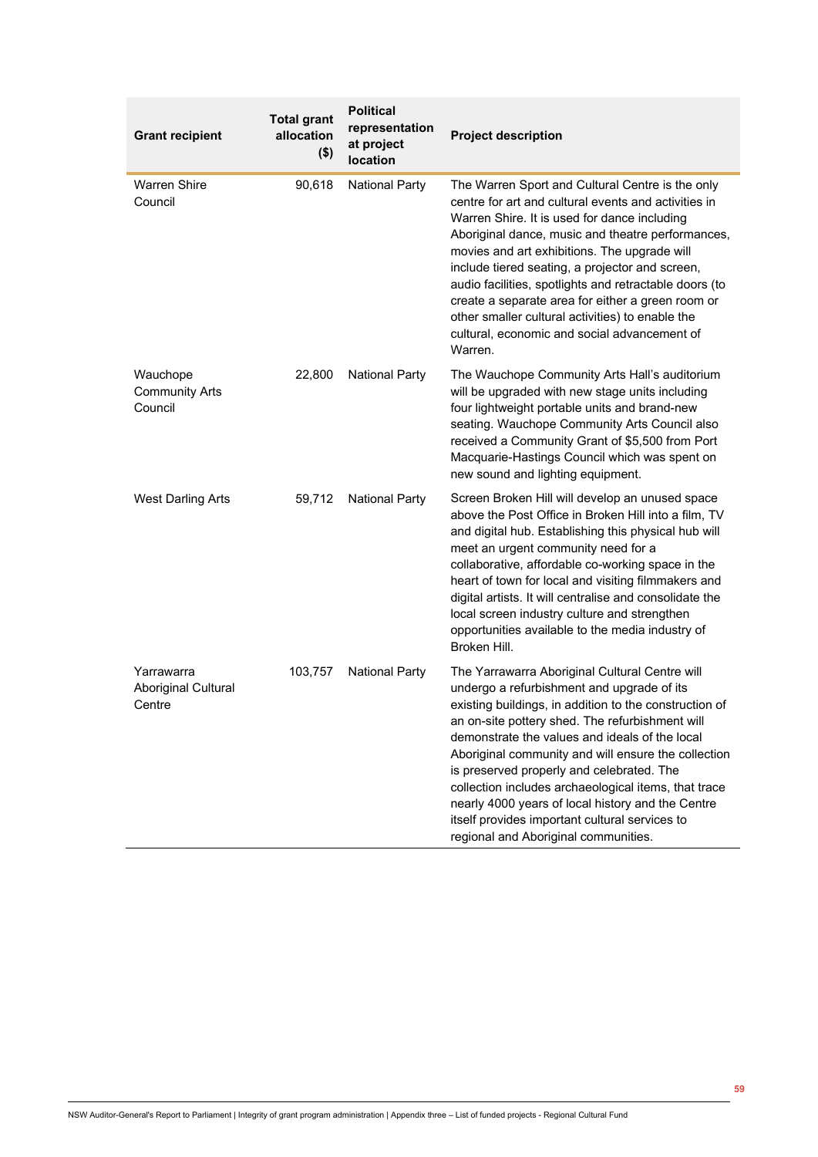| <b>Grant recipient</b>                       | <b>Total grant</b><br>allocation<br>$($ \$) | <b>Political</b><br>representation<br>at project<br>location | <b>Project description</b>                                                                                                                                                                                                                                                                                                                                                                                                                                                                                                                                             |
|----------------------------------------------|---------------------------------------------|--------------------------------------------------------------|------------------------------------------------------------------------------------------------------------------------------------------------------------------------------------------------------------------------------------------------------------------------------------------------------------------------------------------------------------------------------------------------------------------------------------------------------------------------------------------------------------------------------------------------------------------------|
| <b>Warren Shire</b><br>Council               | 90,618                                      | <b>National Party</b>                                        | The Warren Sport and Cultural Centre is the only<br>centre for art and cultural events and activities in<br>Warren Shire. It is used for dance including<br>Aboriginal dance, music and theatre performances,<br>movies and art exhibitions. The upgrade will<br>include tiered seating, a projector and screen,<br>audio facilities, spotlights and retractable doors (to<br>create a separate area for either a green room or<br>other smaller cultural activities) to enable the<br>cultural, economic and social advancement of<br>Warren.                         |
| Wauchope<br><b>Community Arts</b><br>Council | 22,800                                      | <b>National Party</b>                                        | The Wauchope Community Arts Hall's auditorium<br>will be upgraded with new stage units including<br>four lightweight portable units and brand-new<br>seating. Wauchope Community Arts Council also<br>received a Community Grant of \$5,500 from Port<br>Macquarie-Hastings Council which was spent on<br>new sound and lighting equipment.                                                                                                                                                                                                                            |
| <b>West Darling Arts</b>                     | 59,712                                      | <b>National Party</b>                                        | Screen Broken Hill will develop an unused space<br>above the Post Office in Broken Hill into a film, TV<br>and digital hub. Establishing this physical hub will<br>meet an urgent community need for a<br>collaborative, affordable co-working space in the<br>heart of town for local and visiting filmmakers and<br>digital artists. It will centralise and consolidate the<br>local screen industry culture and strengthen<br>opportunities available to the media industry of<br>Broken Hill.                                                                      |
| Yarrawarra<br>Aboriginal Cultural<br>Centre  | 103,757                                     | <b>National Party</b>                                        | The Yarrawarra Aboriginal Cultural Centre will<br>undergo a refurbishment and upgrade of its<br>existing buildings, in addition to the construction of<br>an on-site pottery shed. The refurbishment will<br>demonstrate the values and ideals of the local<br>Aboriginal community and will ensure the collection<br>is preserved properly and celebrated. The<br>collection includes archaeological items, that trace<br>nearly 4000 years of local history and the Centre<br>itself provides important cultural services to<br>regional and Aboriginal communities. |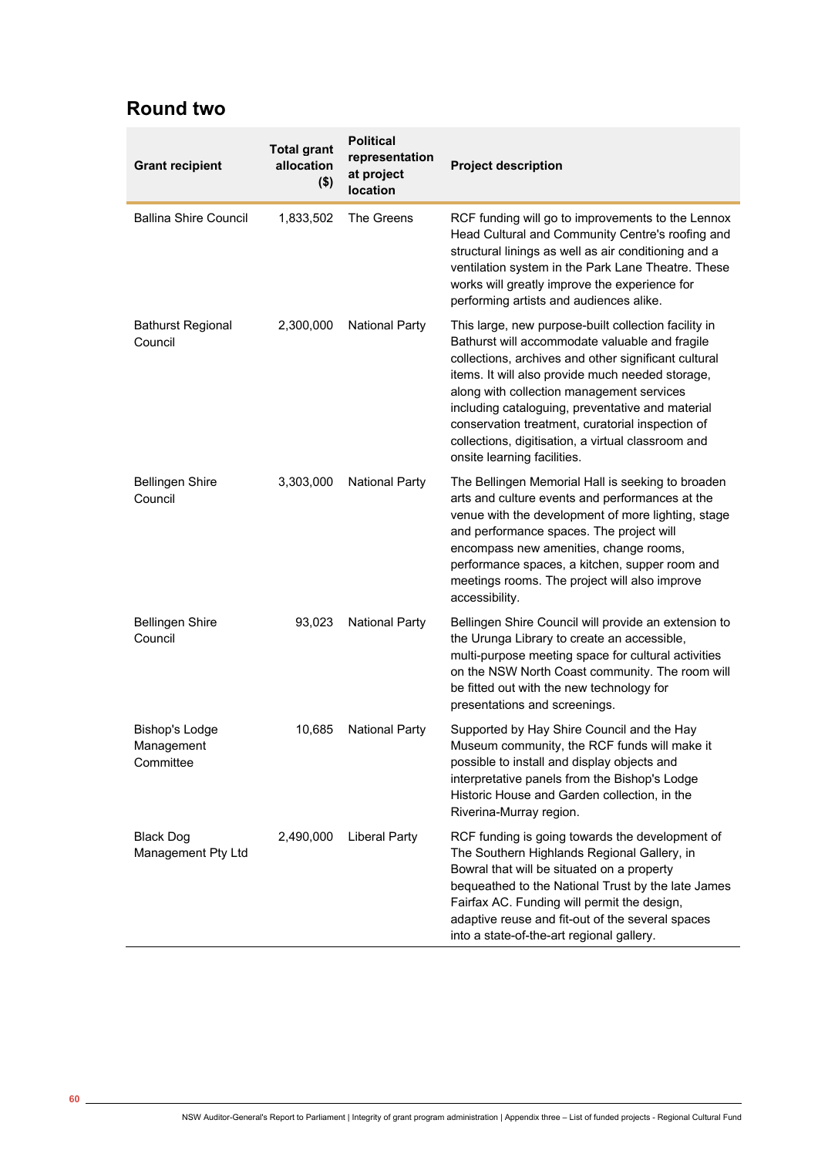## **Round two**

| <b>Grant recipient</b>                           | <b>Total grant</b><br>allocation<br>$($ \$) | <b>Political</b><br>representation<br>at project<br>location | <b>Project description</b>                                                                                                                                                                                                                                                                                                                                                                                                                                   |
|--------------------------------------------------|---------------------------------------------|--------------------------------------------------------------|--------------------------------------------------------------------------------------------------------------------------------------------------------------------------------------------------------------------------------------------------------------------------------------------------------------------------------------------------------------------------------------------------------------------------------------------------------------|
| <b>Ballina Shire Council</b>                     | 1,833,502                                   | The Greens                                                   | RCF funding will go to improvements to the Lennox<br>Head Cultural and Community Centre's roofing and<br>structural linings as well as air conditioning and a<br>ventilation system in the Park Lane Theatre. These<br>works will greatly improve the experience for<br>performing artists and audiences alike.                                                                                                                                              |
| <b>Bathurst Regional</b><br>Council              | 2,300,000                                   | <b>National Party</b>                                        | This large, new purpose-built collection facility in<br>Bathurst will accommodate valuable and fragile<br>collections, archives and other significant cultural<br>items. It will also provide much needed storage,<br>along with collection management services<br>including cataloguing, preventative and material<br>conservation treatment, curatorial inspection of<br>collections, digitisation, a virtual classroom and<br>onsite learning facilities. |
| <b>Bellingen Shire</b><br>Council                | 3,303,000                                   | <b>National Party</b>                                        | The Bellingen Memorial Hall is seeking to broaden<br>arts and culture events and performances at the<br>venue with the development of more lighting, stage<br>and performance spaces. The project will<br>encompass new amenities, change rooms,<br>performance spaces, a kitchen, supper room and<br>meetings rooms. The project will also improve<br>accessibility.                                                                                        |
| <b>Bellingen Shire</b><br>Council                | 93,023                                      | <b>National Party</b>                                        | Bellingen Shire Council will provide an extension to<br>the Urunga Library to create an accessible,<br>multi-purpose meeting space for cultural activities<br>on the NSW North Coast community. The room will<br>be fitted out with the new technology for<br>presentations and screenings.                                                                                                                                                                  |
| <b>Bishop's Lodge</b><br>Management<br>Committee | 10,685                                      | <b>National Party</b>                                        | Supported by Hay Shire Council and the Hay<br>Museum community, the RCF funds will make it<br>possible to install and display objects and<br>interpretative panels from the Bishop's Lodge<br>Historic House and Garden collection, in the<br>Riverina-Murray region.                                                                                                                                                                                        |
| <b>Black Dog</b><br>Management Pty Ltd           | 2,490,000                                   | <b>Liberal Party</b>                                         | RCF funding is going towards the development of<br>The Southern Highlands Regional Gallery, in<br>Bowral that will be situated on a property<br>bequeathed to the National Trust by the late James<br>Fairfax AC. Funding will permit the design,<br>adaptive reuse and fit-out of the several spaces<br>into a state-of-the-art regional gallery.                                                                                                           |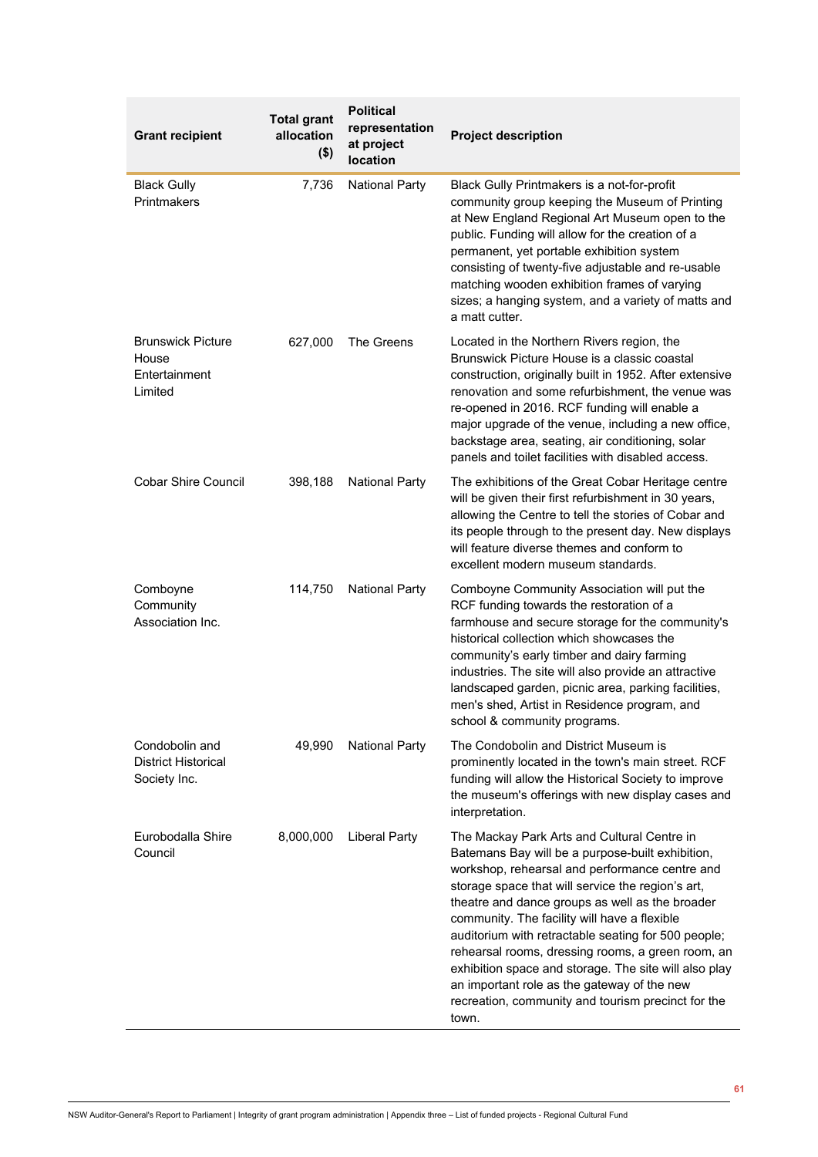| <b>Grant recipient</b>                                        | <b>Total grant</b><br>allocation<br>$($ \$) | <b>Political</b><br>representation<br>at project<br>location | <b>Project description</b>                                                                                                                                                                                                                                                                                                                                                                                                                                                                                                                                                                   |
|---------------------------------------------------------------|---------------------------------------------|--------------------------------------------------------------|----------------------------------------------------------------------------------------------------------------------------------------------------------------------------------------------------------------------------------------------------------------------------------------------------------------------------------------------------------------------------------------------------------------------------------------------------------------------------------------------------------------------------------------------------------------------------------------------|
| <b>Black Gully</b><br>Printmakers                             | 7,736                                       | <b>National Party</b>                                        | Black Gully Printmakers is a not-for-profit<br>community group keeping the Museum of Printing<br>at New England Regional Art Museum open to the<br>public. Funding will allow for the creation of a<br>permanent, yet portable exhibition system<br>consisting of twenty-five adjustable and re-usable<br>matching wooden exhibition frames of varying<br>sizes; a hanging system, and a variety of matts and<br>a matt cutter.                                                                                                                                                              |
| <b>Brunswick Picture</b><br>House<br>Entertainment<br>Limited | 627,000                                     | The Greens                                                   | Located in the Northern Rivers region, the<br>Brunswick Picture House is a classic coastal<br>construction, originally built in 1952. After extensive<br>renovation and some refurbishment, the venue was<br>re-opened in 2016. RCF funding will enable a<br>major upgrade of the venue, including a new office,<br>backstage area, seating, air conditioning, solar<br>panels and toilet facilities with disabled access.                                                                                                                                                                   |
| <b>Cobar Shire Council</b>                                    | 398,188                                     | <b>National Party</b>                                        | The exhibitions of the Great Cobar Heritage centre<br>will be given their first refurbishment in 30 years,<br>allowing the Centre to tell the stories of Cobar and<br>its people through to the present day. New displays<br>will feature diverse themes and conform to<br>excellent modern museum standards.                                                                                                                                                                                                                                                                                |
| Comboyne<br>Community<br>Association Inc.                     | 114,750                                     | <b>National Party</b>                                        | Comboyne Community Association will put the<br>RCF funding towards the restoration of a<br>farmhouse and secure storage for the community's<br>historical collection which showcases the<br>community's early timber and dairy farming<br>industries. The site will also provide an attractive<br>landscaped garden, picnic area, parking facilities,<br>men's shed, Artist in Residence program, and<br>school & community programs.                                                                                                                                                        |
| Condobolin and<br><b>District Historical</b><br>Society Inc.  | 49,990                                      | <b>National Party</b>                                        | The Condobolin and District Museum is<br>prominently located in the town's main street. RCF<br>funding will allow the Historical Society to improve<br>the museum's offerings with new display cases and<br>interpretation.                                                                                                                                                                                                                                                                                                                                                                  |
| Eurobodalla Shire<br>Council                                  | 8,000,000                                   | Liberal Party                                                | The Mackay Park Arts and Cultural Centre in<br>Batemans Bay will be a purpose-built exhibition,<br>workshop, rehearsal and performance centre and<br>storage space that will service the region's art,<br>theatre and dance groups as well as the broader<br>community. The facility will have a flexible<br>auditorium with retractable seating for 500 people;<br>rehearsal rooms, dressing rooms, a green room, an<br>exhibition space and storage. The site will also play<br>an important role as the gateway of the new<br>recreation, community and tourism precinct for the<br>town. |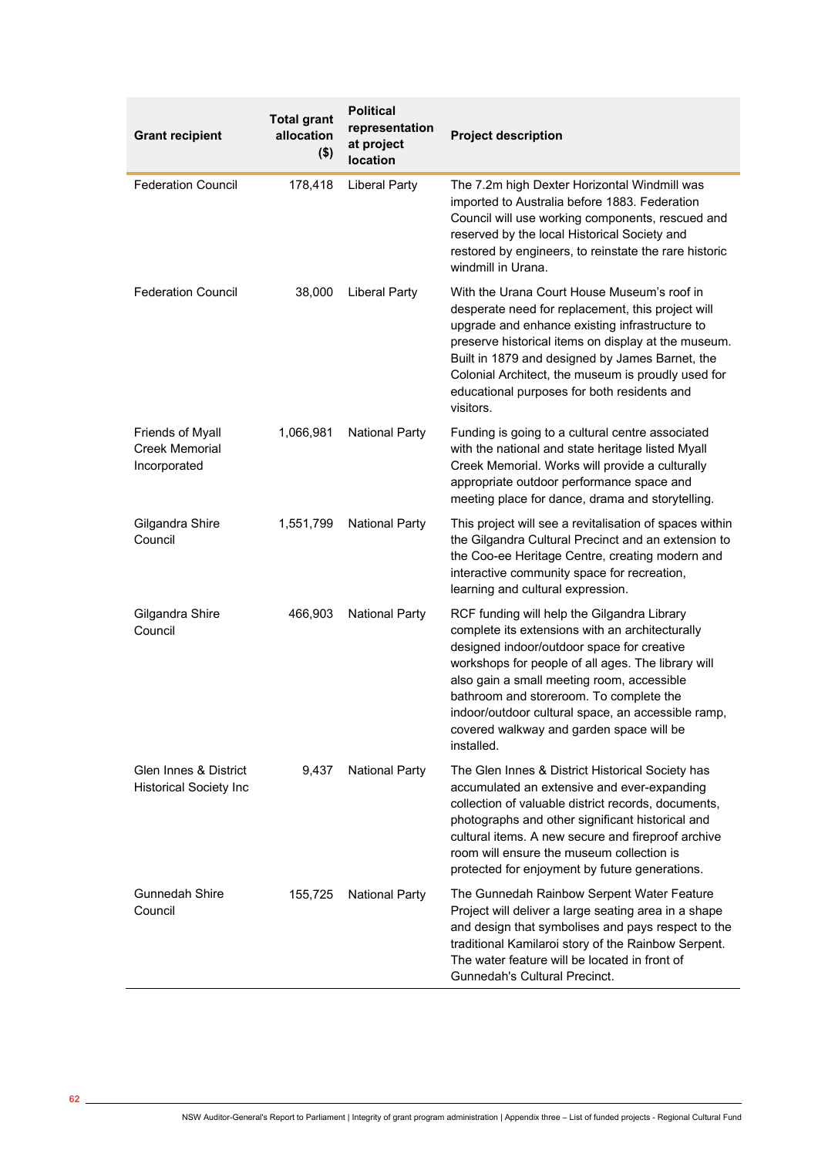| <b>Grant recipient</b>                                    | <b>Total grant</b><br>allocation<br>$($ \$) | <b>Political</b><br>representation<br>at project<br>location | <b>Project description</b>                                                                                                                                                                                                                                                                                                                                                                                  |
|-----------------------------------------------------------|---------------------------------------------|--------------------------------------------------------------|-------------------------------------------------------------------------------------------------------------------------------------------------------------------------------------------------------------------------------------------------------------------------------------------------------------------------------------------------------------------------------------------------------------|
| <b>Federation Council</b>                                 | 178,418                                     | <b>Liberal Party</b>                                         | The 7.2m high Dexter Horizontal Windmill was<br>imported to Australia before 1883. Federation<br>Council will use working components, rescued and<br>reserved by the local Historical Society and<br>restored by engineers, to reinstate the rare historic<br>windmill in Urana.                                                                                                                            |
| <b>Federation Council</b>                                 | 38,000                                      | <b>Liberal Party</b>                                         | With the Urana Court House Museum's roof in<br>desperate need for replacement, this project will<br>upgrade and enhance existing infrastructure to<br>preserve historical items on display at the museum.<br>Built in 1879 and designed by James Barnet, the<br>Colonial Architect, the museum is proudly used for<br>educational purposes for both residents and<br>visitors.                              |
| Friends of Myall<br><b>Creek Memorial</b><br>Incorporated | 1,066,981                                   | <b>National Party</b>                                        | Funding is going to a cultural centre associated<br>with the national and state heritage listed Myall<br>Creek Memorial. Works will provide a culturally<br>appropriate outdoor performance space and<br>meeting place for dance, drama and storytelling.                                                                                                                                                   |
| Gilgandra Shire<br>Council                                | 1,551,799                                   | <b>National Party</b>                                        | This project will see a revitalisation of spaces within<br>the Gilgandra Cultural Precinct and an extension to<br>the Coo-ee Heritage Centre, creating modern and<br>interactive community space for recreation,<br>learning and cultural expression.                                                                                                                                                       |
| Gilgandra Shire<br>Council                                | 466,903                                     | <b>National Party</b>                                        | RCF funding will help the Gilgandra Library<br>complete its extensions with an architecturally<br>designed indoor/outdoor space for creative<br>workshops for people of all ages. The library will<br>also gain a small meeting room, accessible<br>bathroom and storeroom. To complete the<br>indoor/outdoor cultural space, an accessible ramp,<br>covered walkway and garden space will be<br>installed. |
| Glen Innes & District<br><b>Historical Society Inc</b>    | 9,437                                       | <b>National Party</b>                                        | The Glen Innes & District Historical Society has<br>accumulated an extensive and ever-expanding<br>collection of valuable district records, documents,<br>photographs and other significant historical and<br>cultural items. A new secure and fireproof archive<br>room will ensure the museum collection is<br>protected for enjoyment by future generations.                                             |
| <b>Gunnedah Shire</b><br>Council                          | 155,725                                     | <b>National Party</b>                                        | The Gunnedah Rainbow Serpent Water Feature<br>Project will deliver a large seating area in a shape<br>and design that symbolises and pays respect to the<br>traditional Kamilaroi story of the Rainbow Serpent.<br>The water feature will be located in front of<br>Gunnedah's Cultural Precinct.                                                                                                           |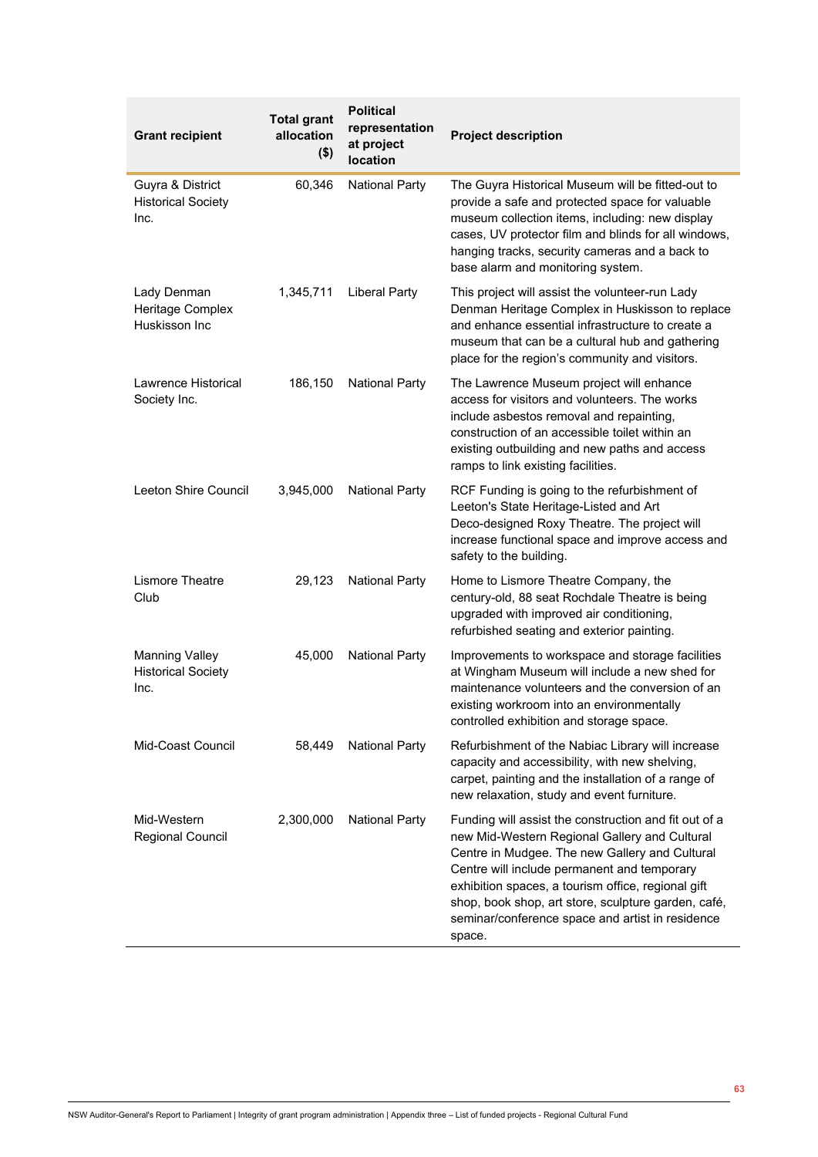| <b>Grant recipient</b>                                     | <b>Total grant</b><br>allocation<br>$($ \$) | <b>Political</b><br>representation<br>at project<br>location | <b>Project description</b>                                                                                                                                                                                                                                                                                                                                                         |
|------------------------------------------------------------|---------------------------------------------|--------------------------------------------------------------|------------------------------------------------------------------------------------------------------------------------------------------------------------------------------------------------------------------------------------------------------------------------------------------------------------------------------------------------------------------------------------|
| Guyra & District<br><b>Historical Society</b><br>Inc.      | 60,346                                      | <b>National Party</b>                                        | The Guyra Historical Museum will be fitted-out to<br>provide a safe and protected space for valuable<br>museum collection items, including: new display<br>cases, UV protector film and blinds for all windows,<br>hanging tracks, security cameras and a back to<br>base alarm and monitoring system.                                                                             |
| Lady Denman<br>Heritage Complex<br>Huskisson Inc           | 1,345,711                                   | <b>Liberal Party</b>                                         | This project will assist the volunteer-run Lady<br>Denman Heritage Complex in Huskisson to replace<br>and enhance essential infrastructure to create a<br>museum that can be a cultural hub and gathering<br>place for the region's community and visitors.                                                                                                                        |
| Lawrence Historical<br>Society Inc.                        | 186,150                                     | <b>National Party</b>                                        | The Lawrence Museum project will enhance<br>access for visitors and volunteers. The works<br>include asbestos removal and repainting,<br>construction of an accessible toilet within an<br>existing outbuilding and new paths and access<br>ramps to link existing facilities.                                                                                                     |
| Leeton Shire Council                                       | 3,945,000                                   | <b>National Party</b>                                        | RCF Funding is going to the refurbishment of<br>Leeton's State Heritage-Listed and Art<br>Deco-designed Roxy Theatre. The project will<br>increase functional space and improve access and<br>safety to the building.                                                                                                                                                              |
| <b>Lismore Theatre</b><br>Club                             | 29,123                                      | <b>National Party</b>                                        | Home to Lismore Theatre Company, the<br>century-old, 88 seat Rochdale Theatre is being<br>upgraded with improved air conditioning,<br>refurbished seating and exterior painting.                                                                                                                                                                                                   |
| <b>Manning Valley</b><br><b>Historical Society</b><br>Inc. | 45,000                                      | <b>National Party</b>                                        | Improvements to workspace and storage facilities<br>at Wingham Museum will include a new shed for<br>maintenance volunteers and the conversion of an<br>existing workroom into an environmentally<br>controlled exhibition and storage space.                                                                                                                                      |
| Mid-Coast Council                                          | 58,449                                      | National Party                                               | Refurbishment of the Nabiac Library will increase<br>capacity and accessibility, with new shelving,<br>carpet, painting and the installation of a range of<br>new relaxation, study and event furniture.                                                                                                                                                                           |
| Mid-Western<br>Regional Council                            | 2,300,000                                   | <b>National Party</b>                                        | Funding will assist the construction and fit out of a<br>new Mid-Western Regional Gallery and Cultural<br>Centre in Mudgee. The new Gallery and Cultural<br>Centre will include permanent and temporary<br>exhibition spaces, a tourism office, regional gift<br>shop, book shop, art store, sculpture garden, café,<br>seminar/conference space and artist in residence<br>space. |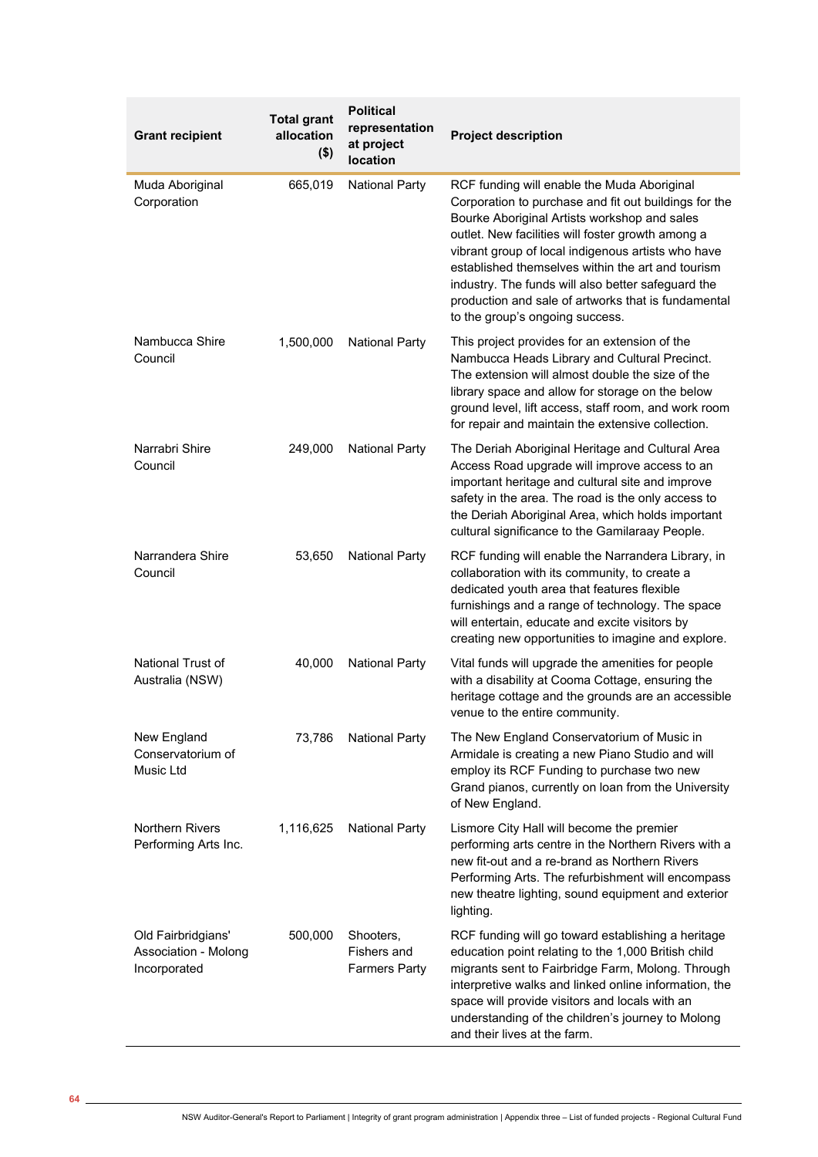| <b>Grant recipient</b>                                     | <b>Total grant</b><br>allocation<br>$($ \$) | <b>Political</b><br>representation<br>at project<br>location | <b>Project description</b>                                                                                                                                                                                                                                                                                                                                                                                                                                           |
|------------------------------------------------------------|---------------------------------------------|--------------------------------------------------------------|----------------------------------------------------------------------------------------------------------------------------------------------------------------------------------------------------------------------------------------------------------------------------------------------------------------------------------------------------------------------------------------------------------------------------------------------------------------------|
| Muda Aboriginal<br>Corporation                             | 665,019                                     | <b>National Party</b>                                        | RCF funding will enable the Muda Aboriginal<br>Corporation to purchase and fit out buildings for the<br>Bourke Aboriginal Artists workshop and sales<br>outlet. New facilities will foster growth among a<br>vibrant group of local indigenous artists who have<br>established themselves within the art and tourism<br>industry. The funds will also better safeguard the<br>production and sale of artworks that is fundamental<br>to the group's ongoing success. |
| Nambucca Shire<br>Council                                  | 1,500,000                                   | <b>National Party</b>                                        | This project provides for an extension of the<br>Nambucca Heads Library and Cultural Precinct.<br>The extension will almost double the size of the<br>library space and allow for storage on the below<br>ground level, lift access, staff room, and work room<br>for repair and maintain the extensive collection.                                                                                                                                                  |
| Narrabri Shire<br>Council                                  | 249,000                                     | <b>National Party</b>                                        | The Deriah Aboriginal Heritage and Cultural Area<br>Access Road upgrade will improve access to an<br>important heritage and cultural site and improve<br>safety in the area. The road is the only access to<br>the Deriah Aboriginal Area, which holds important<br>cultural significance to the Gamilaraay People.                                                                                                                                                  |
| Narrandera Shire<br>Council                                | 53,650                                      | <b>National Party</b>                                        | RCF funding will enable the Narrandera Library, in<br>collaboration with its community, to create a<br>dedicated youth area that features flexible<br>furnishings and a range of technology. The space<br>will entertain, educate and excite visitors by<br>creating new opportunities to imagine and explore.                                                                                                                                                       |
| National Trust of<br>Australia (NSW)                       | 40,000                                      | <b>National Party</b>                                        | Vital funds will upgrade the amenities for people<br>with a disability at Cooma Cottage, ensuring the<br>heritage cottage and the grounds are an accessible<br>venue to the entire community.                                                                                                                                                                                                                                                                        |
| New England<br>Conservatorium of<br>Music Ltd              | 73,786                                      | <b>National Party</b>                                        | The New England Conservatorium of Music in<br>Armidale is creating a new Piano Studio and will<br>employ its RCF Funding to purchase two new<br>Grand pianos, currently on loan from the University<br>of New England.                                                                                                                                                                                                                                               |
| <b>Northern Rivers</b><br>Performing Arts Inc.             | 1,116,625                                   | <b>National Party</b>                                        | Lismore City Hall will become the premier<br>performing arts centre in the Northern Rivers with a<br>new fit-out and a re-brand as Northern Rivers<br>Performing Arts. The refurbishment will encompass<br>new theatre lighting, sound equipment and exterior<br>lighting.                                                                                                                                                                                           |
| Old Fairbridgians'<br>Association - Molong<br>Incorporated | 500,000                                     | Shooters,<br>Fishers and<br><b>Farmers Party</b>             | RCF funding will go toward establishing a heritage<br>education point relating to the 1,000 British child<br>migrants sent to Fairbridge Farm, Molong. Through<br>interpretive walks and linked online information, the<br>space will provide visitors and locals with an<br>understanding of the children's journey to Molong<br>and their lives at the farm.                                                                                                       |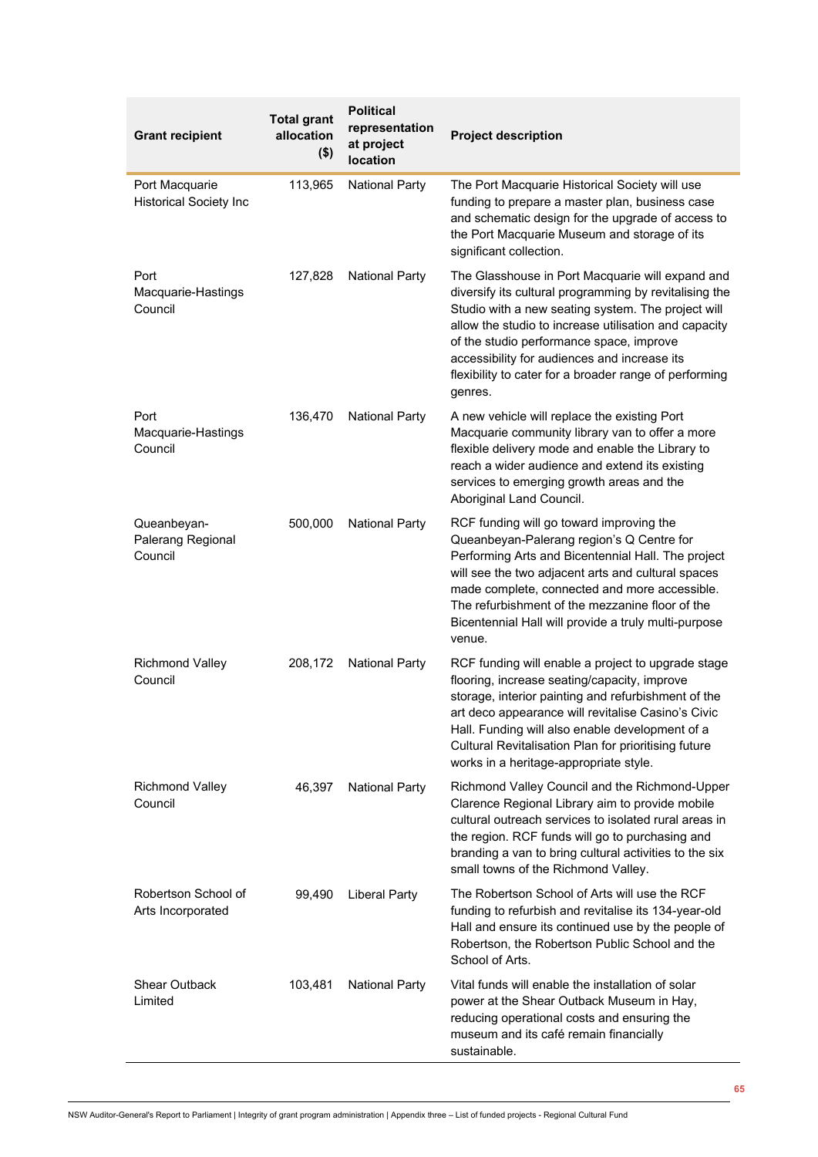| <b>Grant recipient</b>                          | <b>Total grant</b><br>allocation<br>$($ \$) | <b>Political</b><br>representation<br>at project<br>location | <b>Project description</b>                                                                                                                                                                                                                                                                                                                                                                 |
|-------------------------------------------------|---------------------------------------------|--------------------------------------------------------------|--------------------------------------------------------------------------------------------------------------------------------------------------------------------------------------------------------------------------------------------------------------------------------------------------------------------------------------------------------------------------------------------|
| Port Macquarie<br><b>Historical Society Inc</b> | 113,965                                     | <b>National Party</b>                                        | The Port Macquarie Historical Society will use<br>funding to prepare a master plan, business case<br>and schematic design for the upgrade of access to<br>the Port Macquarie Museum and storage of its<br>significant collection.                                                                                                                                                          |
| Port<br>Macquarie-Hastings<br>Council           | 127,828                                     | <b>National Party</b>                                        | The Glasshouse in Port Macquarie will expand and<br>diversify its cultural programming by revitalising the<br>Studio with a new seating system. The project will<br>allow the studio to increase utilisation and capacity<br>of the studio performance space, improve<br>accessibility for audiences and increase its<br>flexibility to cater for a broader range of performing<br>genres. |
| Port<br>Macquarie-Hastings<br>Council           | 136,470                                     | <b>National Party</b>                                        | A new vehicle will replace the existing Port<br>Macquarie community library van to offer a more<br>flexible delivery mode and enable the Library to<br>reach a wider audience and extend its existing<br>services to emerging growth areas and the<br>Aboriginal Land Council.                                                                                                             |
| Queanbeyan-<br>Palerang Regional<br>Council     | 500,000                                     | <b>National Party</b>                                        | RCF funding will go toward improving the<br>Queanbeyan-Palerang region's Q Centre for<br>Performing Arts and Bicentennial Hall. The project<br>will see the two adjacent arts and cultural spaces<br>made complete, connected and more accessible.<br>The refurbishment of the mezzanine floor of the<br>Bicentennial Hall will provide a truly multi-purpose<br>venue.                    |
| <b>Richmond Valley</b><br>Council               | 208,172                                     | <b>National Party</b>                                        | RCF funding will enable a project to upgrade stage<br>flooring, increase seating/capacity, improve<br>storage, interior painting and refurbishment of the<br>art deco appearance will revitalise Casino's Civic<br>Hall. Funding will also enable development of a<br>Cultural Revitalisation Plan for prioritising future<br>works in a heritage-appropriate style.                       |
| <b>Richmond Valley</b><br>Council               | 46,397                                      | <b>National Party</b>                                        | Richmond Valley Council and the Richmond-Upper<br>Clarence Regional Library aim to provide mobile<br>cultural outreach services to isolated rural areas in<br>the region. RCF funds will go to purchasing and<br>branding a van to bring cultural activities to the six<br>small towns of the Richmond Valley.                                                                             |
| Robertson School of<br>Arts Incorporated        | 99,490                                      | <b>Liberal Party</b>                                         | The Robertson School of Arts will use the RCF<br>funding to refurbish and revitalise its 134-year-old<br>Hall and ensure its continued use by the people of<br>Robertson, the Robertson Public School and the<br>School of Arts.                                                                                                                                                           |
| <b>Shear Outback</b><br>Limited                 | 103,481                                     | <b>National Party</b>                                        | Vital funds will enable the installation of solar<br>power at the Shear Outback Museum in Hay,<br>reducing operational costs and ensuring the<br>museum and its café remain financially<br>sustainable.                                                                                                                                                                                    |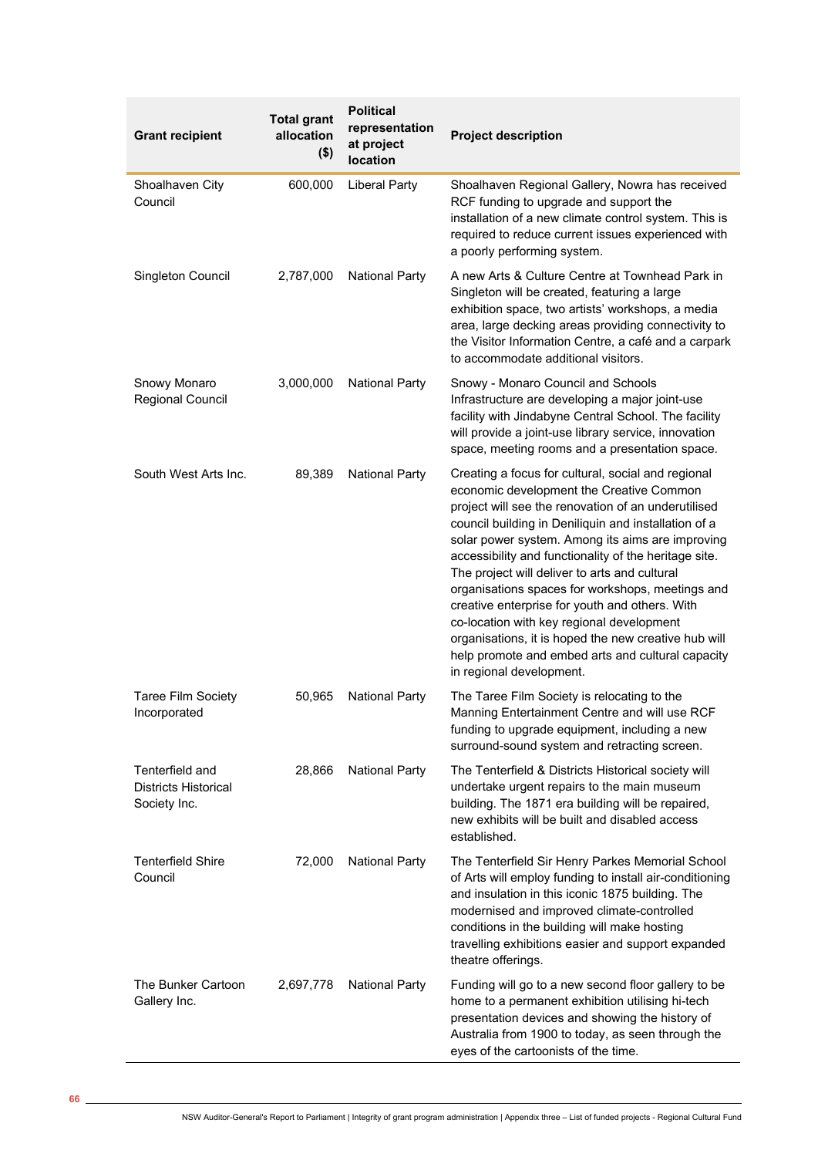| <b>Grant recipient</b>                                         | <b>Total grant</b><br>allocation<br>$($ \$) | <b>Political</b><br>representation<br>at project<br>location | <b>Project description</b>                                                                                                                                                                                                                                                                                                                                                                                                                                                                                                                                                                                                                                              |
|----------------------------------------------------------------|---------------------------------------------|--------------------------------------------------------------|-------------------------------------------------------------------------------------------------------------------------------------------------------------------------------------------------------------------------------------------------------------------------------------------------------------------------------------------------------------------------------------------------------------------------------------------------------------------------------------------------------------------------------------------------------------------------------------------------------------------------------------------------------------------------|
| Shoalhaven City<br>Council                                     | 600,000                                     | <b>Liberal Party</b>                                         | Shoalhaven Regional Gallery, Nowra has received<br>RCF funding to upgrade and support the<br>installation of a new climate control system. This is<br>required to reduce current issues experienced with<br>a poorly performing system.                                                                                                                                                                                                                                                                                                                                                                                                                                 |
| Singleton Council                                              | 2,787,000                                   | <b>National Party</b>                                        | A new Arts & Culture Centre at Townhead Park in<br>Singleton will be created, featuring a large<br>exhibition space, two artists' workshops, a media<br>area, large decking areas providing connectivity to<br>the Visitor Information Centre, a café and a carpark<br>to accommodate additional visitors.                                                                                                                                                                                                                                                                                                                                                              |
| Snowy Monaro<br>Regional Council                               | 3,000,000                                   | <b>National Party</b>                                        | Snowy - Monaro Council and Schools<br>Infrastructure are developing a major joint-use<br>facility with Jindabyne Central School. The facility<br>will provide a joint-use library service, innovation<br>space, meeting rooms and a presentation space.                                                                                                                                                                                                                                                                                                                                                                                                                 |
| South West Arts Inc.                                           | 89,389                                      | <b>National Party</b>                                        | Creating a focus for cultural, social and regional<br>economic development the Creative Common<br>project will see the renovation of an underutilised<br>council building in Deniliquin and installation of a<br>solar power system. Among its aims are improving<br>accessibility and functionality of the heritage site.<br>The project will deliver to arts and cultural<br>organisations spaces for workshops, meetings and<br>creative enterprise for youth and others. With<br>co-location with key regional development<br>organisations, it is hoped the new creative hub will<br>help promote and embed arts and cultural capacity<br>in regional development. |
| <b>Taree Film Society</b><br>Incorporated                      | 50,965                                      | <b>National Party</b>                                        | The Taree Film Society is relocating to the<br>Manning Entertainment Centre and will use RCF<br>funding to upgrade equipment, including a new<br>surround-sound system and retracting screen.                                                                                                                                                                                                                                                                                                                                                                                                                                                                           |
| Tenterfield and<br><b>Districts Historical</b><br>Society Inc. | 28,866                                      | <b>National Party</b>                                        | The Tenterfield & Districts Historical society will<br>undertake urgent repairs to the main museum<br>building. The 1871 era building will be repaired,<br>new exhibits will be built and disabled access<br>established.                                                                                                                                                                                                                                                                                                                                                                                                                                               |
| <b>Tenterfield Shire</b><br>Council                            | 72,000                                      | <b>National Party</b>                                        | The Tenterfield Sir Henry Parkes Memorial School<br>of Arts will employ funding to install air-conditioning<br>and insulation in this iconic 1875 building. The<br>modernised and improved climate-controlled<br>conditions in the building will make hosting<br>travelling exhibitions easier and support expanded<br>theatre offerings.                                                                                                                                                                                                                                                                                                                               |
| The Bunker Cartoon<br>Gallery Inc.                             | 2,697,778                                   | <b>National Party</b>                                        | Funding will go to a new second floor gallery to be<br>home to a permanent exhibition utilising hi-tech<br>presentation devices and showing the history of<br>Australia from 1900 to today, as seen through the<br>eyes of the cartoonists of the time.                                                                                                                                                                                                                                                                                                                                                                                                                 |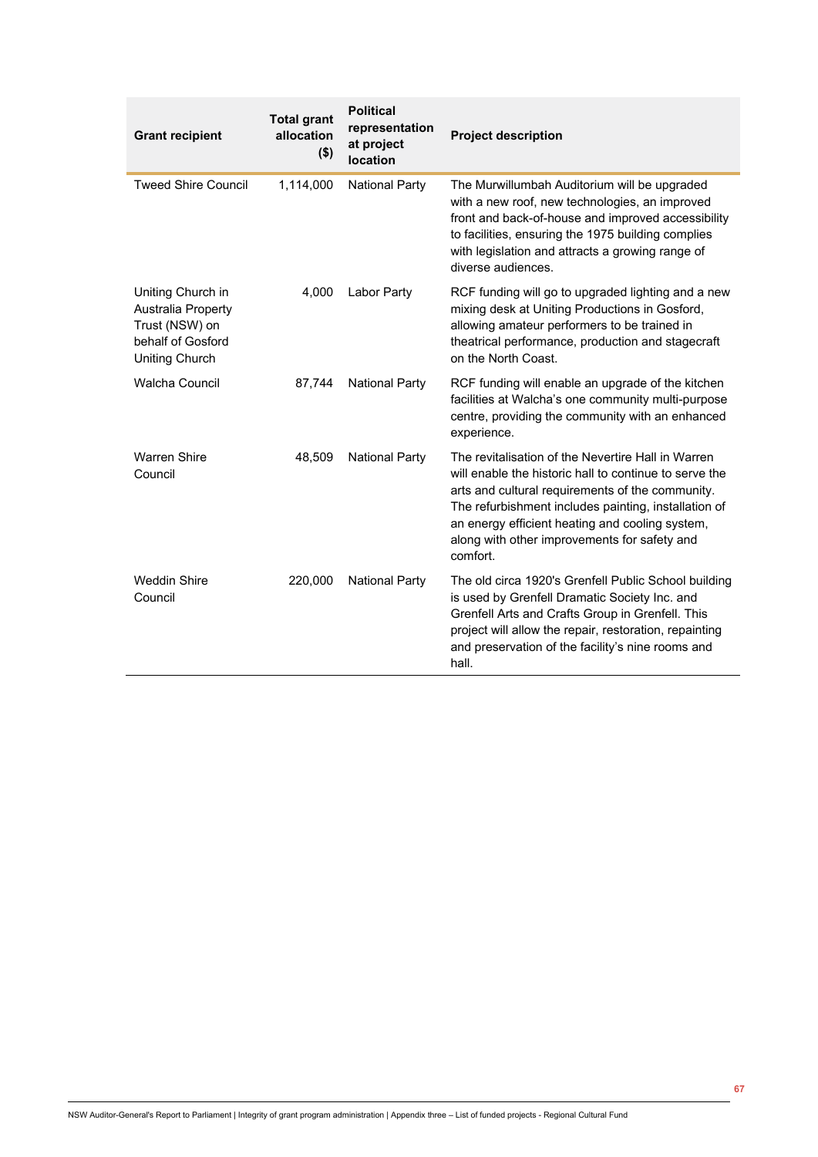| <b>Grant recipient</b>                                                                                         | <b>Total grant</b><br>allocation<br>$($ \$) | <b>Political</b><br>representation<br>at project<br>location | <b>Project description</b>                                                                                                                                                                                                                                                                                                              |
|----------------------------------------------------------------------------------------------------------------|---------------------------------------------|--------------------------------------------------------------|-----------------------------------------------------------------------------------------------------------------------------------------------------------------------------------------------------------------------------------------------------------------------------------------------------------------------------------------|
| <b>Tweed Shire Council</b>                                                                                     | 1,114,000                                   | <b>National Party</b>                                        | The Murwillumbah Auditorium will be upgraded<br>with a new roof, new technologies, an improved<br>front and back-of-house and improved accessibility<br>to facilities, ensuring the 1975 building complies<br>with legislation and attracts a growing range of<br>diverse audiences.                                                    |
| Uniting Church in<br><b>Australia Property</b><br>Trust (NSW) on<br>behalf of Gosford<br><b>Uniting Church</b> | 4,000                                       | Labor Party                                                  | RCF funding will go to upgraded lighting and a new<br>mixing desk at Uniting Productions in Gosford,<br>allowing amateur performers to be trained in<br>theatrical performance, production and stagecraft<br>on the North Coast.                                                                                                        |
| <b>Walcha Council</b>                                                                                          | 87,744                                      | <b>National Party</b>                                        | RCF funding will enable an upgrade of the kitchen<br>facilities at Walcha's one community multi-purpose<br>centre, providing the community with an enhanced<br>experience.                                                                                                                                                              |
| <b>Warren Shire</b><br>Council                                                                                 | 48,509                                      | <b>National Party</b>                                        | The revitalisation of the Nevertire Hall in Warren<br>will enable the historic hall to continue to serve the<br>arts and cultural requirements of the community.<br>The refurbishment includes painting, installation of<br>an energy efficient heating and cooling system,<br>along with other improvements for safety and<br>comfort. |
| <b>Weddin Shire</b><br>Council                                                                                 | 220,000                                     | <b>National Party</b>                                        | The old circa 1920's Grenfell Public School building<br>is used by Grenfell Dramatic Society Inc. and<br>Grenfell Arts and Crafts Group in Grenfell. This<br>project will allow the repair, restoration, repainting<br>and preservation of the facility's nine rooms and<br>hall.                                                       |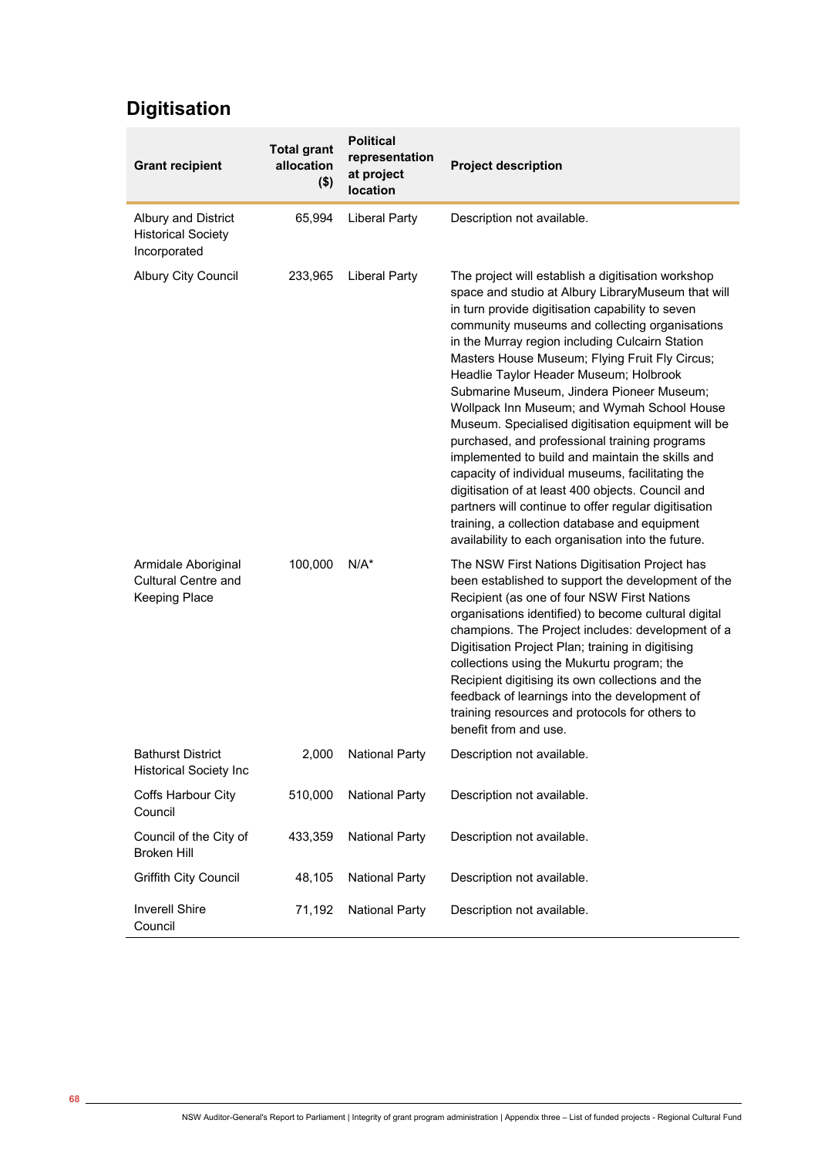## **Digitisation**

| <b>Grant recipient</b>                                             | <b>Total grant</b><br>allocation<br>$($ \$) | <b>Political</b><br>representation<br>at project<br>location | <b>Project description</b>                                                                                                                                                                                                                                                                                                                                                                                                                                                                                                                                                                                                                                                                                                                                                                                                                                                                   |
|--------------------------------------------------------------------|---------------------------------------------|--------------------------------------------------------------|----------------------------------------------------------------------------------------------------------------------------------------------------------------------------------------------------------------------------------------------------------------------------------------------------------------------------------------------------------------------------------------------------------------------------------------------------------------------------------------------------------------------------------------------------------------------------------------------------------------------------------------------------------------------------------------------------------------------------------------------------------------------------------------------------------------------------------------------------------------------------------------------|
| Albury and District<br><b>Historical Society</b><br>Incorporated   | 65,994                                      | <b>Liberal Party</b>                                         | Description not available.                                                                                                                                                                                                                                                                                                                                                                                                                                                                                                                                                                                                                                                                                                                                                                                                                                                                   |
| <b>Albury City Council</b>                                         | 233,965                                     | <b>Liberal Party</b>                                         | The project will establish a digitisation workshop<br>space and studio at Albury LibraryMuseum that will<br>in turn provide digitisation capability to seven<br>community museums and collecting organisations<br>in the Murray region including Culcairn Station<br>Masters House Museum; Flying Fruit Fly Circus;<br>Headlie Taylor Header Museum; Holbrook<br>Submarine Museum, Jindera Pioneer Museum;<br>Wollpack Inn Museum; and Wymah School House<br>Museum. Specialised digitisation equipment will be<br>purchased, and professional training programs<br>implemented to build and maintain the skills and<br>capacity of individual museums, facilitating the<br>digitisation of at least 400 objects. Council and<br>partners will continue to offer regular digitisation<br>training, a collection database and equipment<br>availability to each organisation into the future. |
| Armidale Aboriginal<br><b>Cultural Centre and</b><br>Keeping Place | 100,000                                     | $N/A^*$                                                      | The NSW First Nations Digitisation Project has<br>been established to support the development of the<br>Recipient (as one of four NSW First Nations<br>organisations identified) to become cultural digital<br>champions. The Project includes: development of a<br>Digitisation Project Plan; training in digitising<br>collections using the Mukurtu program; the<br>Recipient digitising its own collections and the<br>feedback of learnings into the development of<br>training resources and protocols for others to<br>benefit from and use.                                                                                                                                                                                                                                                                                                                                          |
| <b>Bathurst District</b><br><b>Historical Society Inc</b>          | 2,000                                       | <b>National Party</b>                                        | Description not available.                                                                                                                                                                                                                                                                                                                                                                                                                                                                                                                                                                                                                                                                                                                                                                                                                                                                   |
| Coffs Harbour City<br>Council                                      | 510,000                                     | <b>National Party</b>                                        | Description not available.                                                                                                                                                                                                                                                                                                                                                                                                                                                                                                                                                                                                                                                                                                                                                                                                                                                                   |
| Council of the City of<br><b>Broken Hill</b>                       | 433,359                                     | <b>National Party</b>                                        | Description not available.                                                                                                                                                                                                                                                                                                                                                                                                                                                                                                                                                                                                                                                                                                                                                                                                                                                                   |
| <b>Griffith City Council</b>                                       | 48,105                                      | <b>National Party</b>                                        | Description not available.                                                                                                                                                                                                                                                                                                                                                                                                                                                                                                                                                                                                                                                                                                                                                                                                                                                                   |
| <b>Inverell Shire</b><br>Council                                   | 71,192                                      | <b>National Party</b>                                        | Description not available.                                                                                                                                                                                                                                                                                                                                                                                                                                                                                                                                                                                                                                                                                                                                                                                                                                                                   |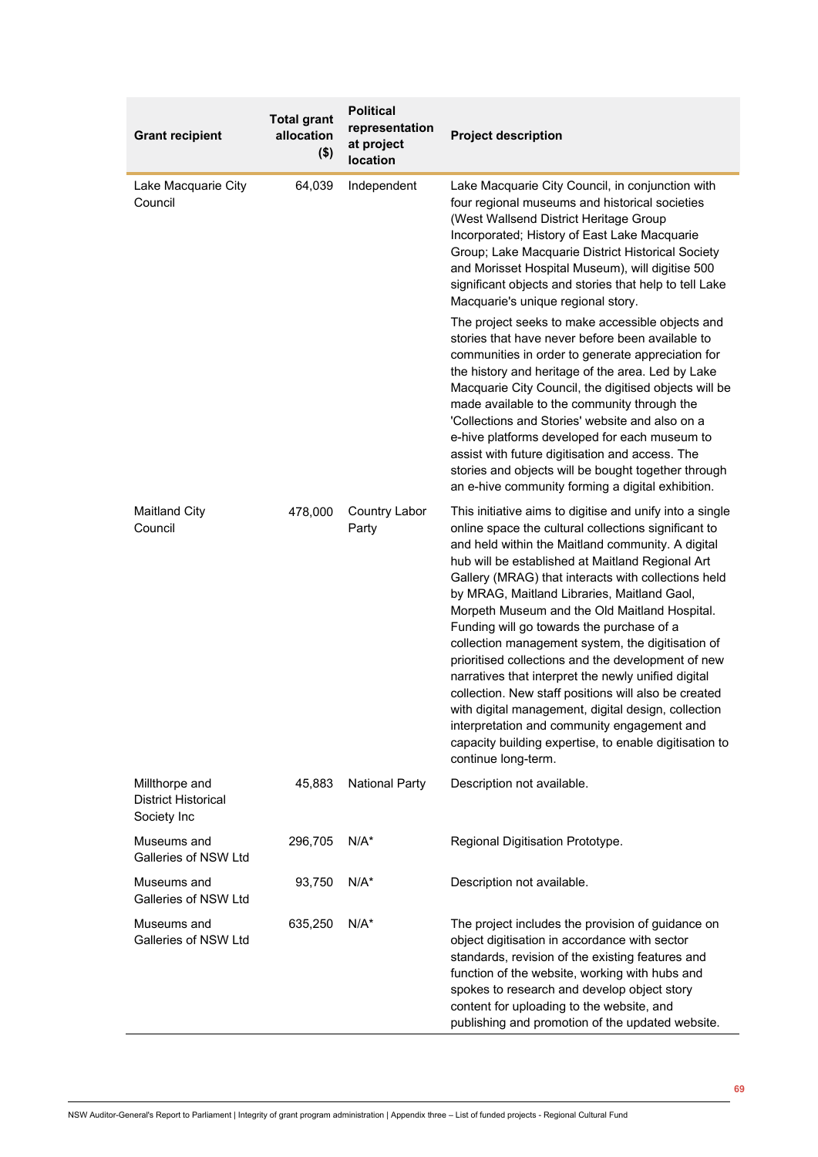| <b>Grant recipient</b>                                      | <b>Total grant</b><br>allocation<br>$($ \$) | <b>Political</b><br>representation<br>at project<br>location | <b>Project description</b>                                                                                                                                                                                                                                                                                                                                                                                                                                                                                                                                                                                                                                                                                                                                                                                                                     |
|-------------------------------------------------------------|---------------------------------------------|--------------------------------------------------------------|------------------------------------------------------------------------------------------------------------------------------------------------------------------------------------------------------------------------------------------------------------------------------------------------------------------------------------------------------------------------------------------------------------------------------------------------------------------------------------------------------------------------------------------------------------------------------------------------------------------------------------------------------------------------------------------------------------------------------------------------------------------------------------------------------------------------------------------------|
| Lake Macquarie City<br>Council                              | 64,039                                      | Independent                                                  | Lake Macquarie City Council, in conjunction with<br>four regional museums and historical societies<br>(West Wallsend District Heritage Group<br>Incorporated; History of East Lake Macquarie<br>Group; Lake Macquarie District Historical Society<br>and Morisset Hospital Museum), will digitise 500<br>significant objects and stories that help to tell Lake<br>Macquarie's unique regional story.                                                                                                                                                                                                                                                                                                                                                                                                                                          |
|                                                             |                                             |                                                              | The project seeks to make accessible objects and<br>stories that have never before been available to<br>communities in order to generate appreciation for<br>the history and heritage of the area. Led by Lake<br>Macquarie City Council, the digitised objects will be<br>made available to the community through the<br>'Collections and Stories' website and also on a<br>e-hive platforms developed for each museum to<br>assist with future digitisation and access. The<br>stories and objects will be bought together through<br>an e-hive community forming a digital exhibition.                                                                                                                                                                                                                                                      |
| <b>Maitland City</b><br>Council                             | 478,000                                     | <b>Country Labor</b><br>Party                                | This initiative aims to digitise and unify into a single<br>online space the cultural collections significant to<br>and held within the Maitland community. A digital<br>hub will be established at Maitland Regional Art<br>Gallery (MRAG) that interacts with collections held<br>by MRAG, Maitland Libraries, Maitland Gaol,<br>Morpeth Museum and the Old Maitland Hospital.<br>Funding will go towards the purchase of a<br>collection management system, the digitisation of<br>prioritised collections and the development of new<br>narratives that interpret the newly unified digital<br>collection. New staff positions will also be created<br>with digital management, digital design, collection<br>interpretation and community engagement and<br>capacity building expertise, to enable digitisation to<br>continue long-term. |
| Millthorpe and<br><b>District Historical</b><br>Society Inc | 45,883                                      | <b>National Party</b>                                        | Description not available.                                                                                                                                                                                                                                                                                                                                                                                                                                                                                                                                                                                                                                                                                                                                                                                                                     |
| Museums and<br>Galleries of NSW Ltd                         | 296,705                                     | $N/A^*$                                                      | Regional Digitisation Prototype.                                                                                                                                                                                                                                                                                                                                                                                                                                                                                                                                                                                                                                                                                                                                                                                                               |
| Museums and<br>Galleries of NSW Ltd                         | 93,750                                      | $N/A^*$                                                      | Description not available.                                                                                                                                                                                                                                                                                                                                                                                                                                                                                                                                                                                                                                                                                                                                                                                                                     |
| Museums and<br>Galleries of NSW Ltd                         | 635,250                                     | $N/A^*$                                                      | The project includes the provision of guidance on<br>object digitisation in accordance with sector<br>standards, revision of the existing features and<br>function of the website, working with hubs and<br>spokes to research and develop object story<br>content for uploading to the website, and<br>publishing and promotion of the updated website.                                                                                                                                                                                                                                                                                                                                                                                                                                                                                       |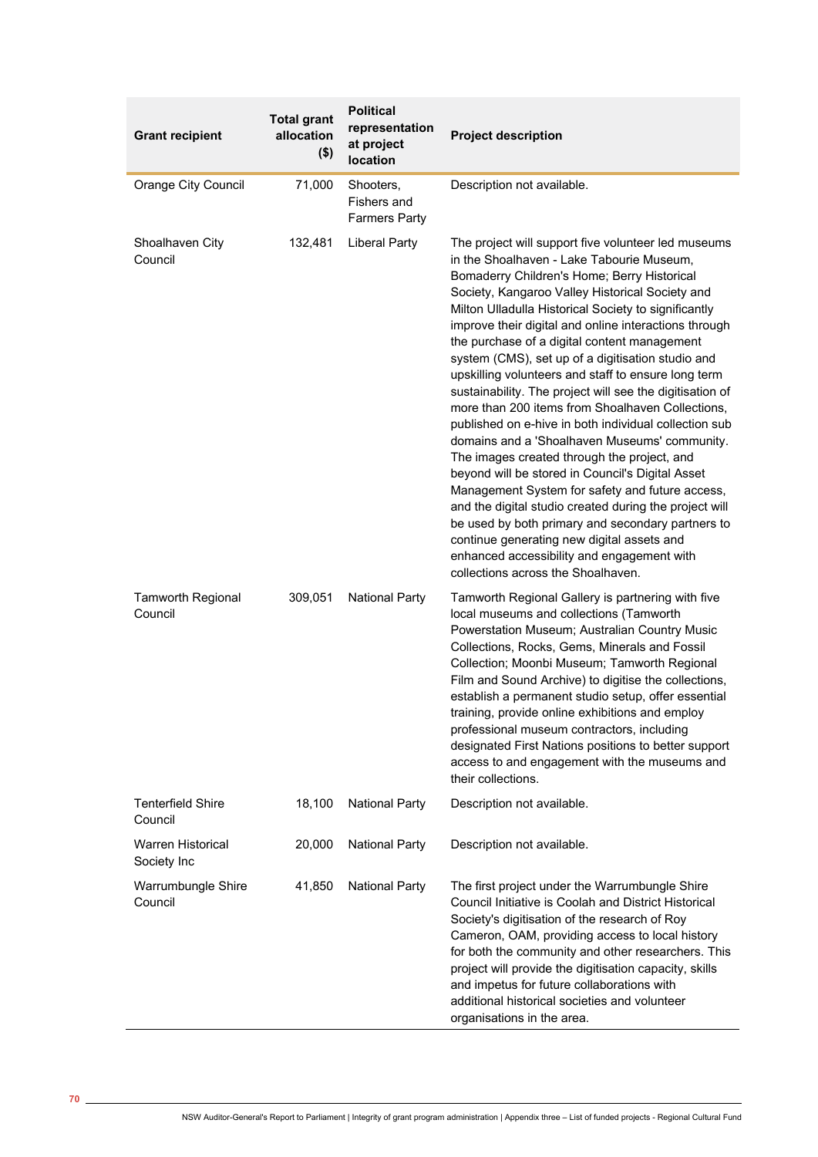| <b>Grant recipient</b>                  | <b>Total grant</b><br>allocation<br>$($ \$) | <b>Political</b><br>representation<br>at project<br>location | <b>Project description</b>                                                                                                                                                                                                                                                                                                                                                                                                                                                                                                                                                                                                                                                                                                                                                                                                                                                                                                                                                                                                                                                                                       |
|-----------------------------------------|---------------------------------------------|--------------------------------------------------------------|------------------------------------------------------------------------------------------------------------------------------------------------------------------------------------------------------------------------------------------------------------------------------------------------------------------------------------------------------------------------------------------------------------------------------------------------------------------------------------------------------------------------------------------------------------------------------------------------------------------------------------------------------------------------------------------------------------------------------------------------------------------------------------------------------------------------------------------------------------------------------------------------------------------------------------------------------------------------------------------------------------------------------------------------------------------------------------------------------------------|
| <b>Orange City Council</b>              | 71,000                                      | Shooters,<br>Fishers and<br><b>Farmers Party</b>             | Description not available.                                                                                                                                                                                                                                                                                                                                                                                                                                                                                                                                                                                                                                                                                                                                                                                                                                                                                                                                                                                                                                                                                       |
| Shoalhaven City<br>Council              | 132,481                                     | <b>Liberal Party</b>                                         | The project will support five volunteer led museums<br>in the Shoalhaven - Lake Tabourie Museum,<br>Bomaderry Children's Home; Berry Historical<br>Society, Kangaroo Valley Historical Society and<br>Milton Ulladulla Historical Society to significantly<br>improve their digital and online interactions through<br>the purchase of a digital content management<br>system (CMS), set up of a digitisation studio and<br>upskilling volunteers and staff to ensure long term<br>sustainability. The project will see the digitisation of<br>more than 200 items from Shoalhaven Collections,<br>published on e-hive in both individual collection sub<br>domains and a 'Shoalhaven Museums' community.<br>The images created through the project, and<br>beyond will be stored in Council's Digital Asset<br>Management System for safety and future access,<br>and the digital studio created during the project will<br>be used by both primary and secondary partners to<br>continue generating new digital assets and<br>enhanced accessibility and engagement with<br>collections across the Shoalhaven. |
| <b>Tamworth Regional</b><br>Council     | 309,051                                     | <b>National Party</b>                                        | Tamworth Regional Gallery is partnering with five<br>local museums and collections (Tamworth<br>Powerstation Museum; Australian Country Music<br>Collections, Rocks, Gems, Minerals and Fossil<br>Collection; Moonbi Museum; Tamworth Regional<br>Film and Sound Archive) to digitise the collections,<br>establish a permanent studio setup, offer essential<br>training, provide online exhibitions and employ<br>professional museum contractors, including<br>designated First Nations positions to better support<br>access to and engagement with the museums and<br>their collections.                                                                                                                                                                                                                                                                                                                                                                                                                                                                                                                    |
| <b>Tenterfield Shire</b><br>Council     | 18,100                                      | <b>National Party</b>                                        | Description not available.                                                                                                                                                                                                                                                                                                                                                                                                                                                                                                                                                                                                                                                                                                                                                                                                                                                                                                                                                                                                                                                                                       |
| <b>Warren Historical</b><br>Society Inc | 20,000                                      | <b>National Party</b>                                        | Description not available.                                                                                                                                                                                                                                                                                                                                                                                                                                                                                                                                                                                                                                                                                                                                                                                                                                                                                                                                                                                                                                                                                       |
| Warrumbungle Shire<br>Council           | 41,850                                      | <b>National Party</b>                                        | The first project under the Warrumbungle Shire<br>Council Initiative is Coolah and District Historical<br>Society's digitisation of the research of Roy<br>Cameron, OAM, providing access to local history<br>for both the community and other researchers. This<br>project will provide the digitisation capacity, skills<br>and impetus for future collaborations with<br>additional historical societies and volunteer<br>organisations in the area.                                                                                                                                                                                                                                                                                                                                                                                                                                                                                                                                                                                                                                                          |